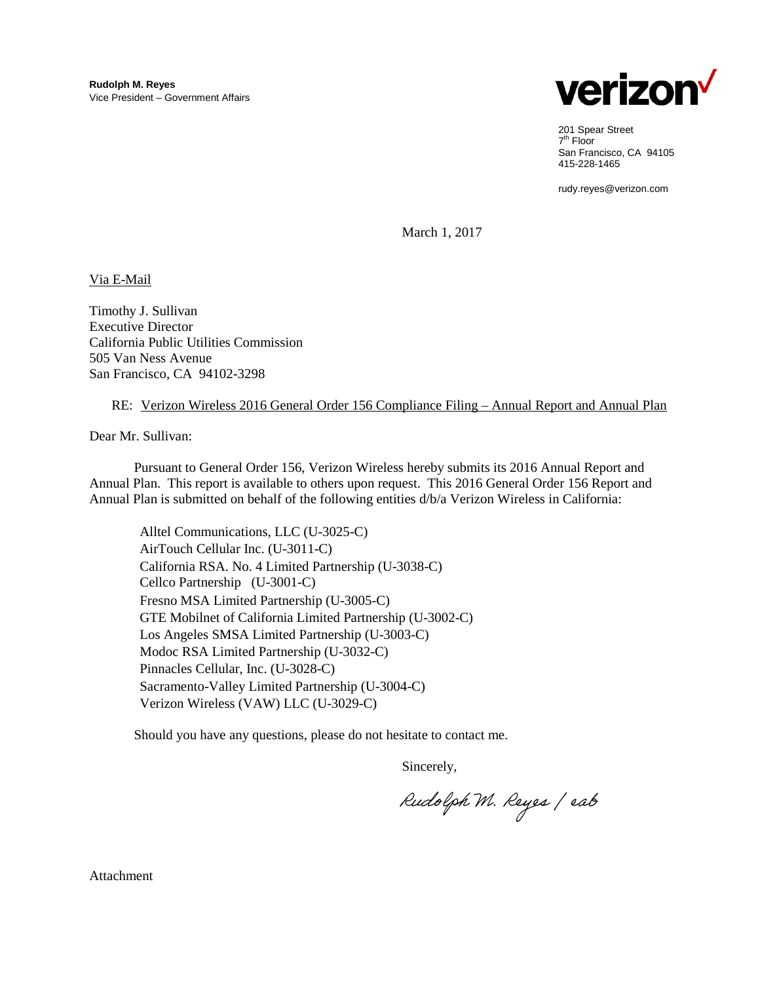

201 Spear Street 7th Floor San Francisco, CA 94105 415-228-1465

rudy.reyes@verizon.com

March 1, 2017

Via E-Mail

Timothy J. Sullivan Executive Director California Public Utilities Commission 505 Van Ness Avenue San Francisco, CA 94102-3298

#### RE: Verizon Wireless 2016 General Order 156 Compliance Filing – Annual Report and Annual Plan

Dear Mr. Sullivan:

Pursuant to General Order 156, Verizon Wireless hereby submits its 2016 Annual Report and Annual Plan. This report is available to others upon request. This 2016 General Order 156 Report and Annual Plan is submitted on behalf of the following entities d/b/a Verizon Wireless in California:

Alltel Communications, LLC (U-3025-C) AirTouch Cellular Inc. (U-3011-C) California RSA. No. 4 Limited Partnership (U-3038-C) Cellco Partnership (U-3001-C) Fresno MSA Limited Partnership (U-3005-C) GTE Mobilnet of California Limited Partnership (U-3002-C) Los Angeles SMSA Limited Partnership (U-3003-C) Modoc RSA Limited Partnership (U-3032-C) Pinnacles Cellular, Inc. (U-3028-C) Sacramento-Valley Limited Partnership (U-3004-C) Verizon Wireless (VAW) LLC (U-3029-C)

Should you have any questions, please do not hesitate to contact me.

Sincerely,

Rudolph M. Reyes / eab

Attachment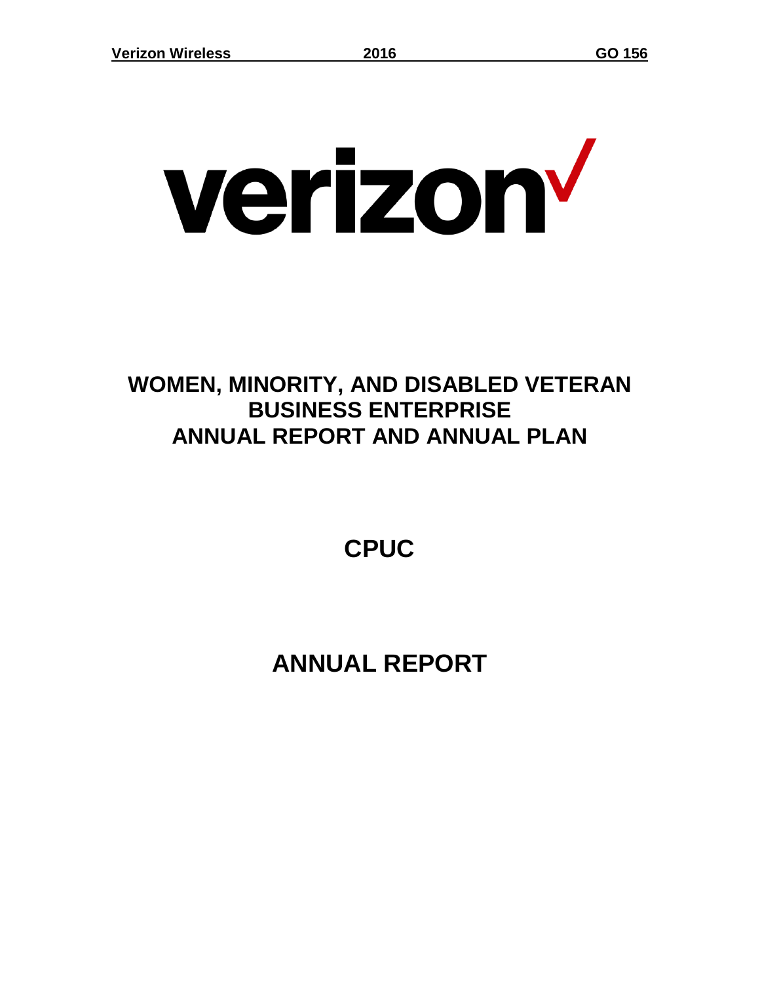# verizon<sup>v</sup>

## **WOMEN, MINORITY, AND DISABLED VETERAN BUSINESS ENTERPRISE ANNUAL REPORT AND ANNUAL PLAN**

**CPUC**

# **ANNUAL REPORT**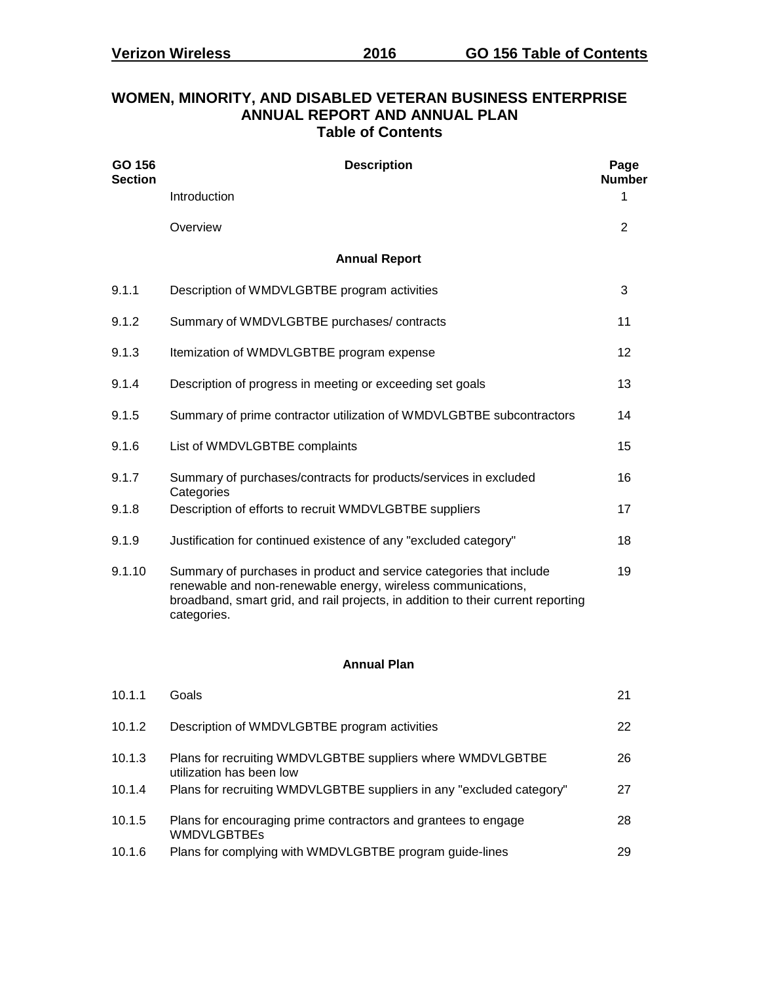| GO 156<br><b>Section</b> | <b>Description</b>                                                                                                                                                                                                                     |               |  |  |  |  |  |  |  |  |  |
|--------------------------|----------------------------------------------------------------------------------------------------------------------------------------------------------------------------------------------------------------------------------------|---------------|--|--|--|--|--|--|--|--|--|
|                          | Introduction                                                                                                                                                                                                                           | <b>Number</b> |  |  |  |  |  |  |  |  |  |
|                          | Overview                                                                                                                                                                                                                               | 2             |  |  |  |  |  |  |  |  |  |
| <b>Annual Report</b>     |                                                                                                                                                                                                                                        |               |  |  |  |  |  |  |  |  |  |
| 9.1.1                    | Description of WMDVLGBTBE program activities                                                                                                                                                                                           | 3             |  |  |  |  |  |  |  |  |  |
| 9.1.2                    | Summary of WMDVLGBTBE purchases/contracts                                                                                                                                                                                              | 11            |  |  |  |  |  |  |  |  |  |
| 9.1.3                    | Itemization of WMDVLGBTBE program expense                                                                                                                                                                                              | 12            |  |  |  |  |  |  |  |  |  |
| 9.1.4                    | Description of progress in meeting or exceeding set goals                                                                                                                                                                              | 13            |  |  |  |  |  |  |  |  |  |
| 9.1.5                    | Summary of prime contractor utilization of WMDVLGBTBE subcontractors                                                                                                                                                                   | 14            |  |  |  |  |  |  |  |  |  |
| 9.1.6                    | List of WMDVLGBTBE complaints                                                                                                                                                                                                          | 15            |  |  |  |  |  |  |  |  |  |
| 9.1.7                    | Summary of purchases/contracts for products/services in excluded                                                                                                                                                                       | 16            |  |  |  |  |  |  |  |  |  |
| 9.1.8                    | Categories<br>Description of efforts to recruit WMDVLGBTBE suppliers                                                                                                                                                                   | 17            |  |  |  |  |  |  |  |  |  |
| 9.1.9                    | Justification for continued existence of any "excluded category"                                                                                                                                                                       | 18            |  |  |  |  |  |  |  |  |  |
| 9.1.10                   | Summary of purchases in product and service categories that include<br>renewable and non-renewable energy, wireless communications,<br>broadband, smart grid, and rail projects, in addition to their current reporting<br>categories. | 19            |  |  |  |  |  |  |  |  |  |
| <b>Annual Plan</b>       |                                                                                                                                                                                                                                        |               |  |  |  |  |  |  |  |  |  |

#### **WOMEN, MINORITY, AND DISABLED VETERAN BUSINESS ENTERPRISE ANNUAL REPORT AND ANNUAL PLAN Table of Contents**

| Description of WMDVLGBTBE program activities<br>22<br>Plans for recruiting WMDVLGBTBE suppliers where WMDVLGBTBE<br>26<br>utilization has been low<br>Plans for recruiting WMDVLGBTBE suppliers in any "excluded category"<br>27<br>28<br>Plans for encouraging prime contractors and grantees to engage<br><b>WMDVLGBTBEs</b><br>Plans for complying with WMDVLGBTBE program guide-lines<br>29 | 10.1.1 | Goals | 21 |
|-------------------------------------------------------------------------------------------------------------------------------------------------------------------------------------------------------------------------------------------------------------------------------------------------------------------------------------------------------------------------------------------------|--------|-------|----|
|                                                                                                                                                                                                                                                                                                                                                                                                 | 10.1.2 |       |    |
|                                                                                                                                                                                                                                                                                                                                                                                                 | 10.1.3 |       |    |
|                                                                                                                                                                                                                                                                                                                                                                                                 | 10.1.4 |       |    |
|                                                                                                                                                                                                                                                                                                                                                                                                 | 10.1.5 |       |    |
|                                                                                                                                                                                                                                                                                                                                                                                                 | 10.1.6 |       |    |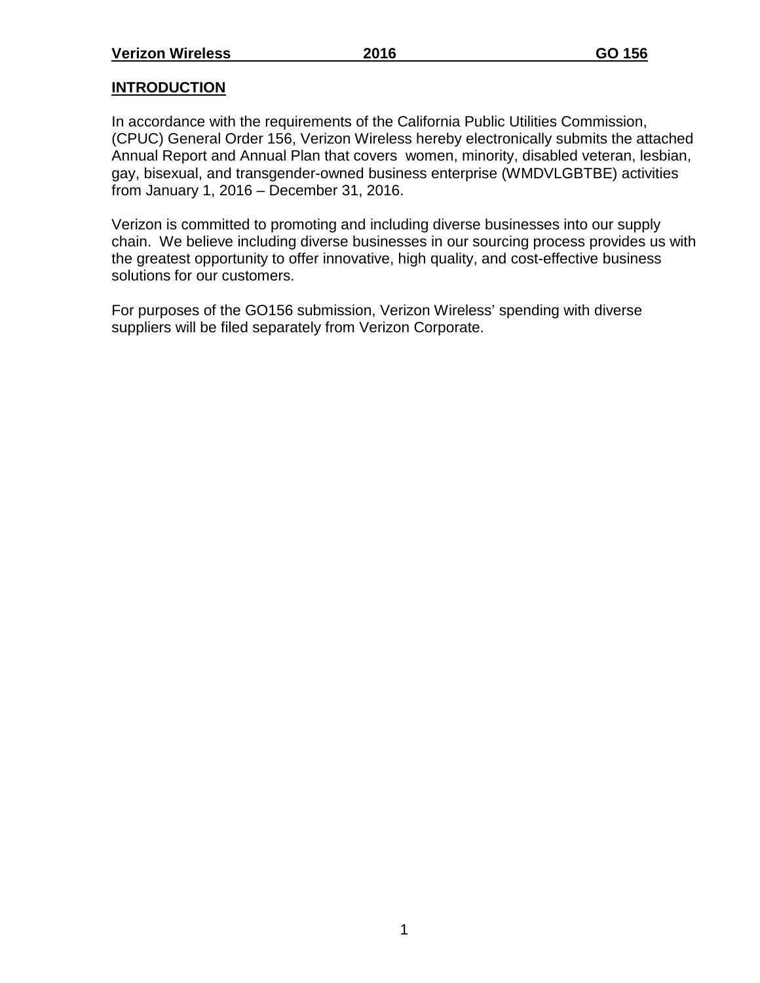#### **INTRODUCTION**

In accordance with the requirements of the California Public Utilities Commission, (CPUC) General Order 156, Verizon Wireless hereby electronically submits the attached Annual Report and Annual Plan that covers women, minority, disabled veteran, lesbian, gay, bisexual, and transgender-owned business enterprise (WMDVLGBTBE) activities from January 1, 2016 – December 31, 2016.

Verizon is committed to promoting and including diverse businesses into our supply chain. We believe including diverse businesses in our sourcing process provides us with the greatest opportunity to offer innovative, high quality, and cost-effective business solutions for our customers.

For purposes of the GO156 submission, Verizon Wireless' spending with diverse suppliers will be filed separately from Verizon Corporate.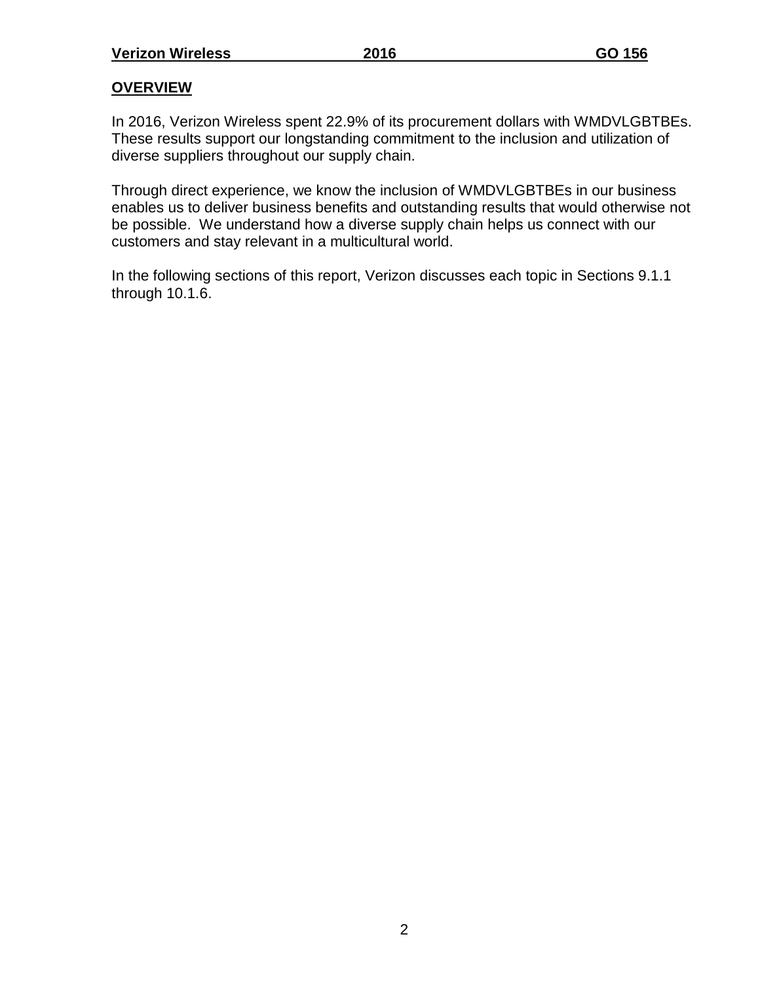#### **OVERVIEW**

In 2016, Verizon Wireless spent 22.9% of its procurement dollars with WMDVLGBTBEs. These results support our longstanding commitment to the inclusion and utilization of diverse suppliers throughout our supply chain.

Through direct experience, we know the inclusion of WMDVLGBTBEs in our business enables us to deliver business benefits and outstanding results that would otherwise not be possible. We understand how a diverse supply chain helps us connect with our customers and stay relevant in a multicultural world.

In the following sections of this report, Verizon discusses each topic in Sections 9.1.1 through 10.1.6.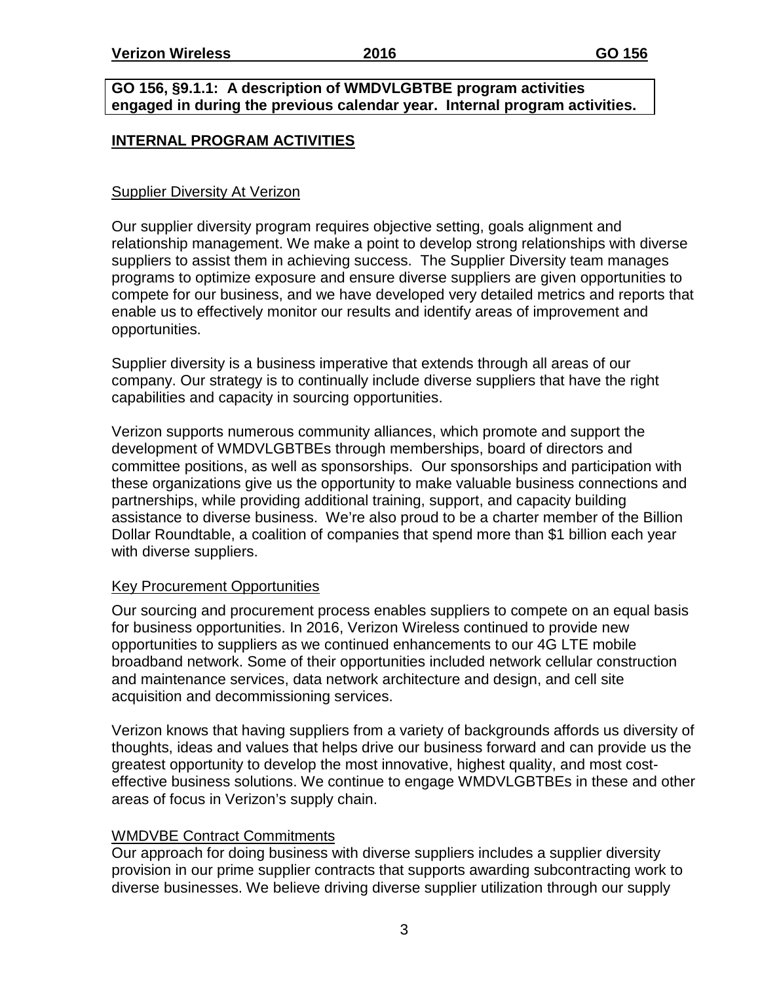#### **GO 156, §9.1.1: A description of WMDVLGBTBE program activities engaged in during the previous calendar year. Internal program activities.**

#### **INTERNAL PROGRAM ACTIVITIES**

#### Supplier Diversity At Verizon

Our supplier diversity program requires objective setting, goals alignment and relationship management. We make a point to develop strong relationships with diverse suppliers to assist them in achieving success. The Supplier Diversity team manages programs to optimize exposure and ensure diverse suppliers are given opportunities to compete for our business, and we have developed very detailed metrics and reports that enable us to effectively monitor our results and identify areas of improvement and opportunities.

Supplier diversity is a business imperative that extends through all areas of our company. Our strategy is to continually include diverse suppliers that have the right capabilities and capacity in sourcing opportunities.

Verizon supports numerous community alliances, which promote and support the development of WMDVLGBTBEs through memberships, board of directors and committee positions, as well as sponsorships. Our sponsorships and participation with these organizations give us the opportunity to make valuable business connections and partnerships, while providing additional training, support, and capacity building assistance to diverse business. We're also proud to be a charter member of the Billion Dollar Roundtable, a coalition of companies that spend more than \$1 billion each year with diverse suppliers.

#### Key Procurement Opportunities

Our sourcing and procurement process enables suppliers to compete on an equal basis for business opportunities. In 2016, Verizon Wireless continued to provide new opportunities to suppliers as we continued enhancements to our 4G LTE mobile broadband network. Some of their opportunities included network cellular construction and maintenance services, data network architecture and design, and cell site acquisition and decommissioning services.

Verizon knows that having suppliers from a variety of backgrounds affords us diversity of thoughts, ideas and values that helps drive our business forward and can provide us the greatest opportunity to develop the most innovative, highest quality, and most costeffective business solutions. We continue to engage WMDVLGBTBEs in these and other areas of focus in Verizon's supply chain.

#### WMDVBE Contract Commitments

Our approach for doing business with diverse suppliers includes a supplier diversity provision in our prime supplier contracts that supports awarding subcontracting work to diverse businesses. We believe driving diverse supplier utilization through our supply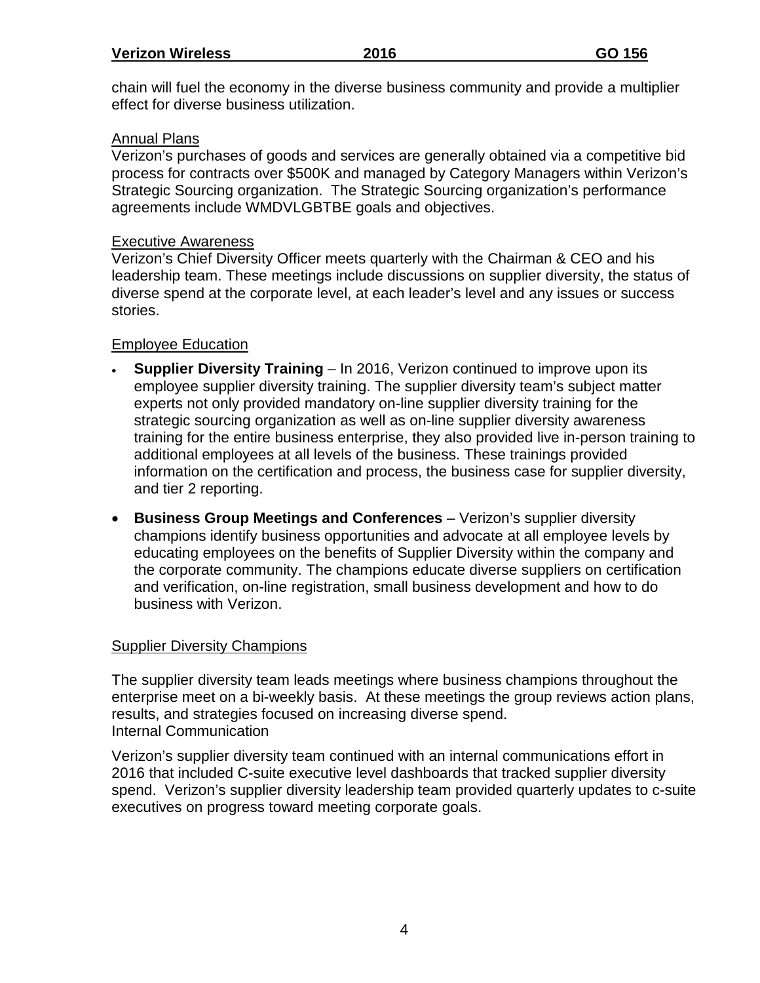chain will fuel the economy in the diverse business community and provide a multiplier effect for diverse business utilization.

#### Annual Plans

Verizon's purchases of goods and services are generally obtained via a competitive bid process for contracts over \$500K and managed by Category Managers within Verizon's Strategic Sourcing organization. The Strategic Sourcing organization's performance agreements include WMDVLGBTBE goals and objectives.

#### Executive Awareness

Verizon's Chief Diversity Officer meets quarterly with the Chairman & CEO and his leadership team. These meetings include discussions on supplier diversity, the status of diverse spend at the corporate level, at each leader's level and any issues or success stories.

#### Employee Education

- **Supplier Diversity Training** In 2016, Verizon continued to improve upon its employee supplier diversity training. The supplier diversity team's subject matter experts not only provided mandatory on-line supplier diversity training for the strategic sourcing organization as well as on-line supplier diversity awareness training for the entire business enterprise, they also provided live in-person training to additional employees at all levels of the business. These trainings provided information on the certification and process, the business case for supplier diversity, and tier 2 reporting.
- **Business Group Meetings and Conferences** Verizon's supplier diversity champions identify business opportunities and advocate at all employee levels by educating employees on the benefits of Supplier Diversity within the company and the corporate community. The champions educate diverse suppliers on certification and verification, on-line registration, small business development and how to do business with Verizon.

#### Supplier Diversity Champions

The supplier diversity team leads meetings where business champions throughout the enterprise meet on a bi-weekly basis. At these meetings the group reviews action plans, results, and strategies focused on increasing diverse spend. Internal Communication

Verizon's supplier diversity team continued with an internal communications effort in 2016 that included C-suite executive level dashboards that tracked supplier diversity spend. Verizon's supplier diversity leadership team provided quarterly updates to c-suite executives on progress toward meeting corporate goals.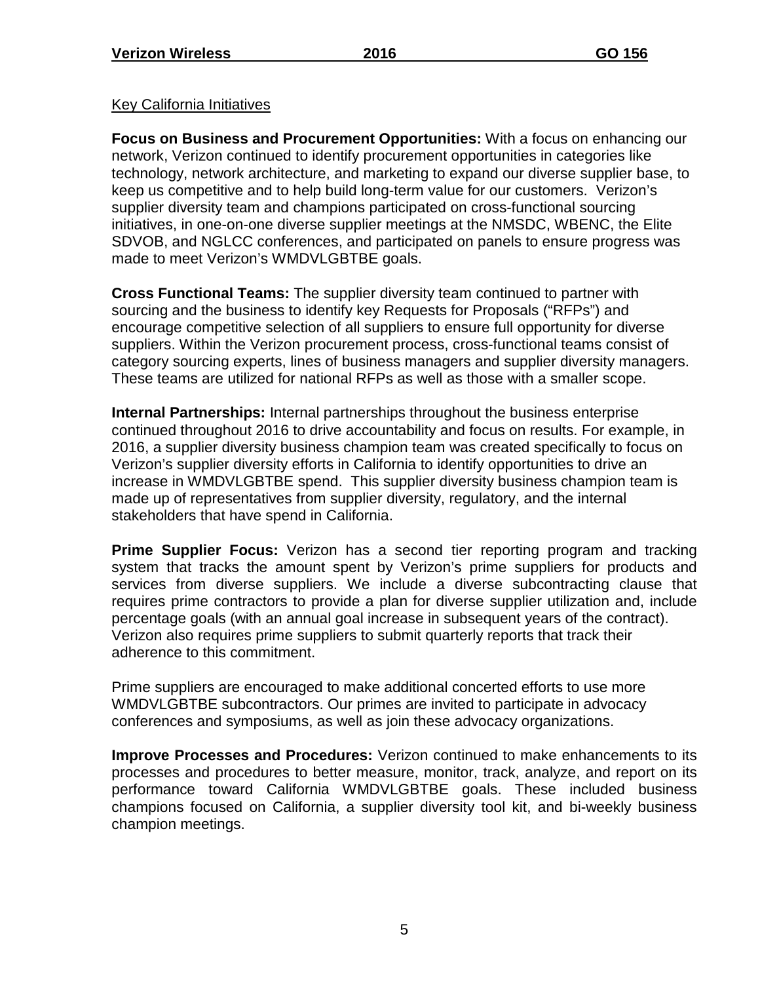#### Key California Initiatives

**Focus on Business and Procurement Opportunities:** With a focus on enhancing our network, Verizon continued to identify procurement opportunities in categories like technology, network architecture, and marketing to expand our diverse supplier base, to keep us competitive and to help build long-term value for our customers. Verizon's supplier diversity team and champions participated on cross-functional sourcing initiatives, in one-on-one diverse supplier meetings at the NMSDC, WBENC, the Elite SDVOB, and NGLCC conferences, and participated on panels to ensure progress was made to meet Verizon's WMDVLGBTBE goals.

**Cross Functional Teams:** The supplier diversity team continued to partner with sourcing and the business to identify key Requests for Proposals ("RFPs") and encourage competitive selection of all suppliers to ensure full opportunity for diverse suppliers. Within the Verizon procurement process, cross-functional teams consist of category sourcing experts, lines of business managers and supplier diversity managers. These teams are utilized for national RFPs as well as those with a smaller scope.

**Internal Partnerships:** Internal partnerships throughout the business enterprise continued throughout 2016 to drive accountability and focus on results. For example, in 2016, a supplier diversity business champion team was created specifically to focus on Verizon's supplier diversity efforts in California to identify opportunities to drive an increase in WMDVLGBTBE spend. This supplier diversity business champion team is made up of representatives from supplier diversity, regulatory, and the internal stakeholders that have spend in California.

**Prime Supplier Focus:** Verizon has a second tier reporting program and tracking system that tracks the amount spent by Verizon's prime suppliers for products and services from diverse suppliers. We include a diverse subcontracting clause that requires prime contractors to provide a plan for diverse supplier utilization and, include percentage goals (with an annual goal increase in subsequent years of the contract). Verizon also requires prime suppliers to submit quarterly reports that track their adherence to this commitment.

Prime suppliers are encouraged to make additional concerted efforts to use more WMDVLGBTBE subcontractors. Our primes are invited to participate in advocacy conferences and symposiums, as well as join these advocacy organizations.

**Improve Processes and Procedures:** Verizon continued to make enhancements to its processes and procedures to better measure, monitor, track, analyze, and report on its performance toward California WMDVLGBTBE goals. These included business champions focused on California, a supplier diversity tool kit, and bi-weekly business champion meetings.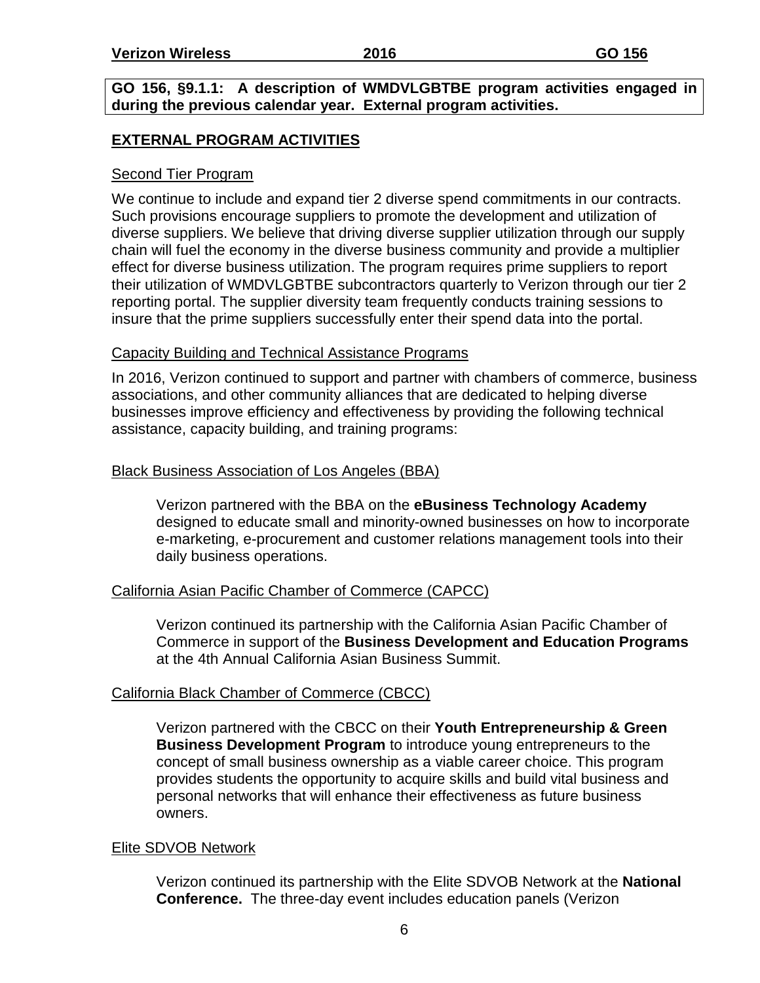#### **GO 156, §9.1.1: A description of WMDVLGBTBE program activities engaged in during the previous calendar year. External program activities.**

#### **EXTERNAL PROGRAM ACTIVITIES**

#### Second Tier Program

We continue to include and expand tier 2 diverse spend commitments in our contracts. Such provisions encourage suppliers to promote the development and utilization of diverse suppliers. We believe that driving diverse supplier utilization through our supply chain will fuel the economy in the diverse business community and provide a multiplier effect for diverse business utilization. The program requires prime suppliers to report their utilization of WMDVLGBTBE subcontractors quarterly to Verizon through our tier 2 reporting portal. The supplier diversity team frequently conducts training sessions to insure that the prime suppliers successfully enter their spend data into the portal.

#### Capacity Building and Technical Assistance Programs

In 2016, Verizon continued to support and partner with chambers of commerce, business associations, and other community alliances that are dedicated to helping diverse businesses improve efficiency and effectiveness by providing the following technical assistance, capacity building, and training programs:

#### Black Business Association of Los Angeles (BBA)

Verizon partnered with the BBA on the **eBusiness Technology Academy** designed to educate small and minority-owned businesses on how to incorporate e-marketing, e-procurement and customer relations management tools into their daily business operations.

#### California Asian Pacific Chamber of Commerce (CAPCC)

Verizon continued its partnership with the California Asian Pacific Chamber of Commerce in support of the **Business Development and Education Programs** at the 4th Annual California Asian Business Summit.

#### California Black Chamber of Commerce (CBCC)

Verizon partnered with the CBCC on their **Youth Entrepreneurship & Green Business Development Program** to introduce young entrepreneurs to the concept of small business ownership as a viable career choice. This program provides students the opportunity to acquire skills and build vital business and personal networks that will enhance their effectiveness as future business owners.

#### Elite SDVOB Network

Verizon continued its partnership with the Elite SDVOB Network at the **National Conference.** The three-day event includes education panels (Verizon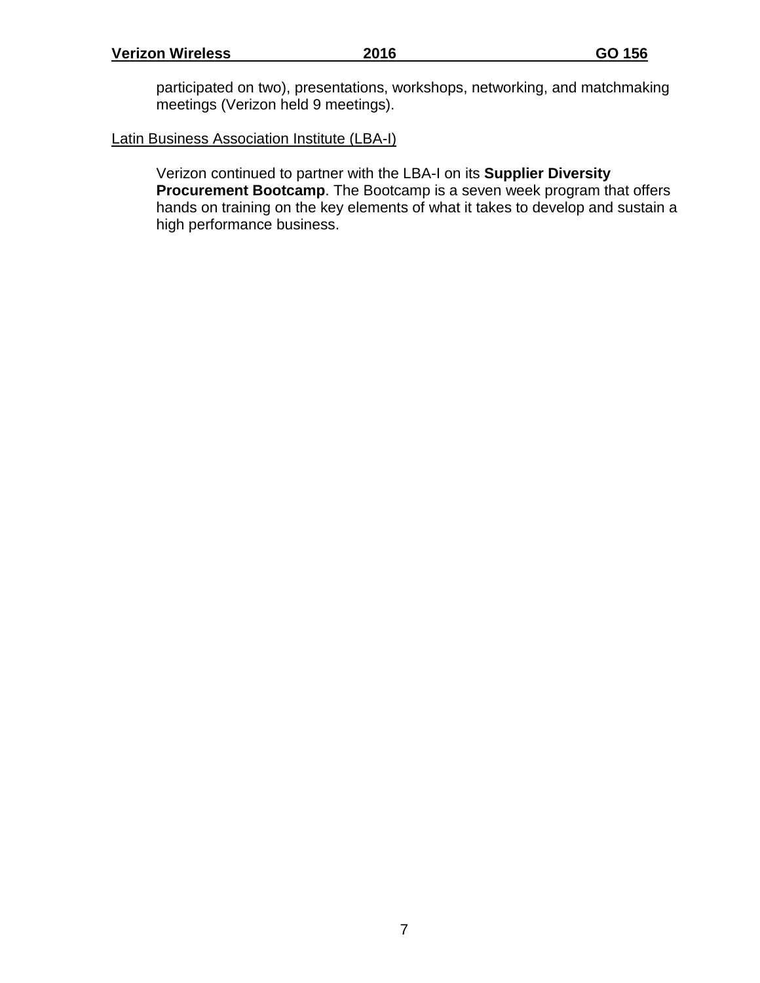participated on two), presentations, workshops, networking, and matchmaking meetings (Verizon held 9 meetings).

#### Latin Business Association Institute (LBA-I)

Verizon continued to partner with the LBA-I on its **Supplier Diversity Procurement Bootcamp**. The Bootcamp is a seven week program that offers hands on training on the key elements of what it takes to develop and sustain a high performance business.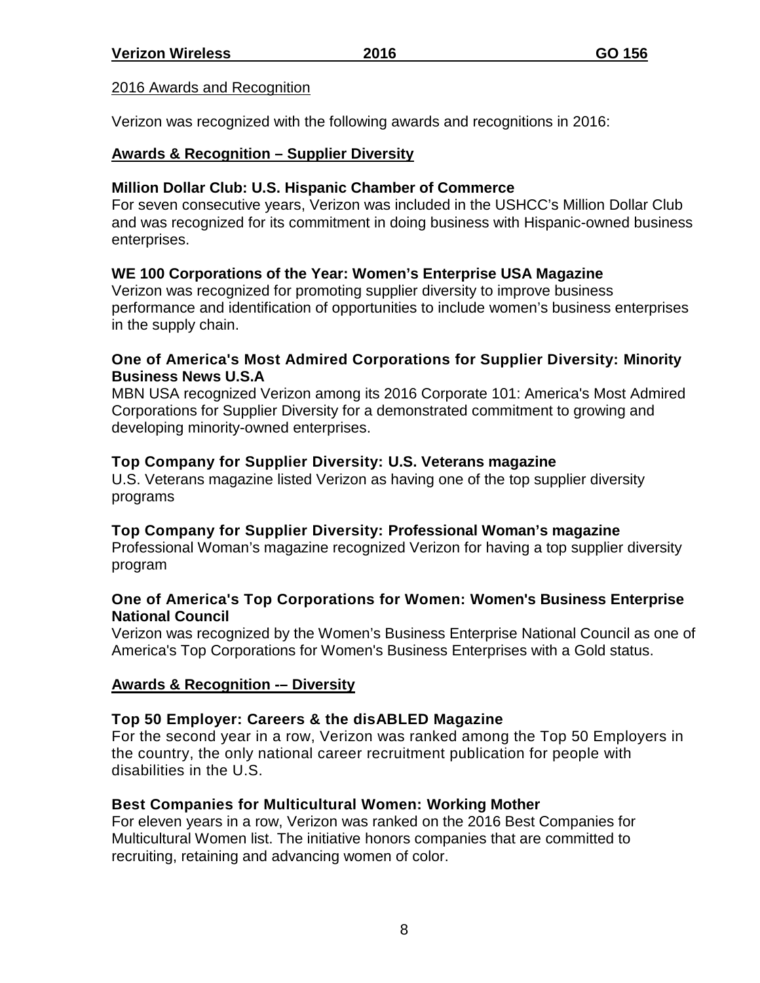#### 2016 Awards and Recognition

Verizon was recognized with the following awards and recognitions in 2016:

#### **Awards & Recognition – Supplier Diversity**

#### **Million Dollar Club: U.S. Hispanic Chamber of Commerce**

For seven consecutive years, Verizon was included in the USHCC's Million Dollar Club and was recognized for its commitment in doing business with Hispanic-owned business enterprises.

#### **WE 100 Corporations of the Year: Women's Enterprise USA Magazine**

Verizon was recognized for promoting supplier diversity to improve business performance and identification of opportunities to include women's business enterprises in the supply chain.

#### **One of America's Most Admired Corporations for Supplier Diversity: Minority Business News U.S.A**

MBN USA recognized Verizon among its 2016 Corporate 101: America's Most Admired Corporations for Supplier Diversity for a demonstrated commitment to growing and developing minority-owned enterprises.

#### **Top Company for Supplier Diversity: U.S. Veterans magazine**

U.S. Veterans magazine listed Verizon as having one of the top supplier diversity programs

#### **Top Company for Supplier Diversity: Professional Woman's magazine**

Professional Woman's magazine recognized Verizon for having a top supplier diversity program

#### **One of America's Top Corporations for Women: Women's Business Enterprise National Council**

Verizon was recognized by the Women's Business Enterprise National Council as one of America's Top Corporations for Women's Business Enterprises with a Gold status.

#### **Awards & Recognition -– Diversity**

#### **Top 50 Employer: Careers & the disABLED Magazine**

For the second year in a row, Verizon was ranked among the Top 50 Employers in the country, the only national career recruitment publication for people with disabilities in the U.S.

#### **Best Companies for Multicultural Women: Working Mother**

For eleven years in a row, Verizon was ranked on the 2016 Best Companies for Multicultural Women list. The initiative honors companies that are committed to recruiting, retaining and advancing women of color.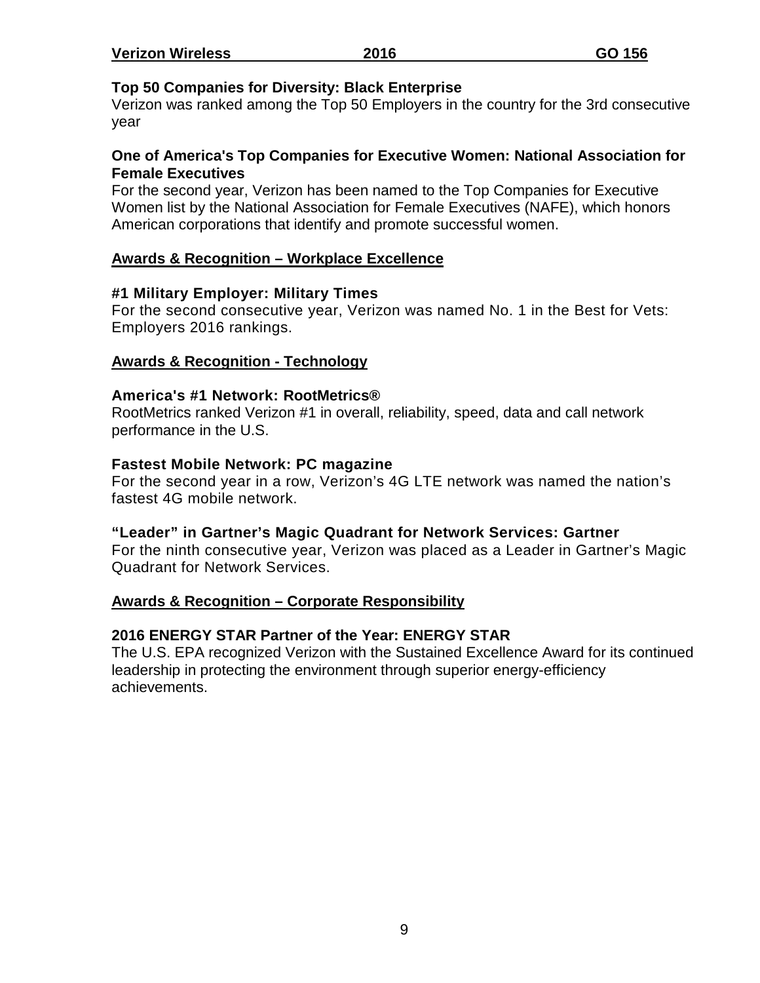| <b>Verizon Wireless</b> | 2016 | GO 156 |
|-------------------------|------|--------|
|                         |      |        |

#### **Top 50 Companies for Diversity: Black Enterprise**

Verizon was ranked among the Top 50 Employers in the country for the 3rd consecutive year

#### **One of America's Top Companies for Executive Women: National Association for Female Executives**

For the second year, Verizon has been named to the Top Companies for Executive Women list by the National Association for Female Executives (NAFE), which honors American corporations that identify and promote successful women.

#### **Awards & Recognition – Workplace Excellence**

#### **#1 Military Employer: Military Times**

For the second consecutive year, Verizon was named No. 1 in the Best for Vets: Employers 2016 rankings.

#### **Awards & Recognition - Technology**

#### **America's #1 Network: RootMetrics®**

RootMetrics ranked Verizon #1 in overall, reliability, speed, data and call network performance in the U.S.

#### **Fastest Mobile Network: PC magazine**

For the second year in a row, Verizon's 4G LTE network was named the nation's fastest 4G mobile network.

#### **"Leader" in Gartner's Magic Quadrant for Network Services: Gartner**

For the ninth consecutive year, Verizon was placed as a Leader in Gartner's Magic Quadrant for Network Services.

#### **Awards & Recognition – Corporate Responsibility**

#### **2016 ENERGY STAR Partner of the Year: ENERGY STAR**

The U.S. EPA recognized Verizon with the Sustained Excellence Award for its continued leadership in protecting the environment through superior energy-efficiency achievements.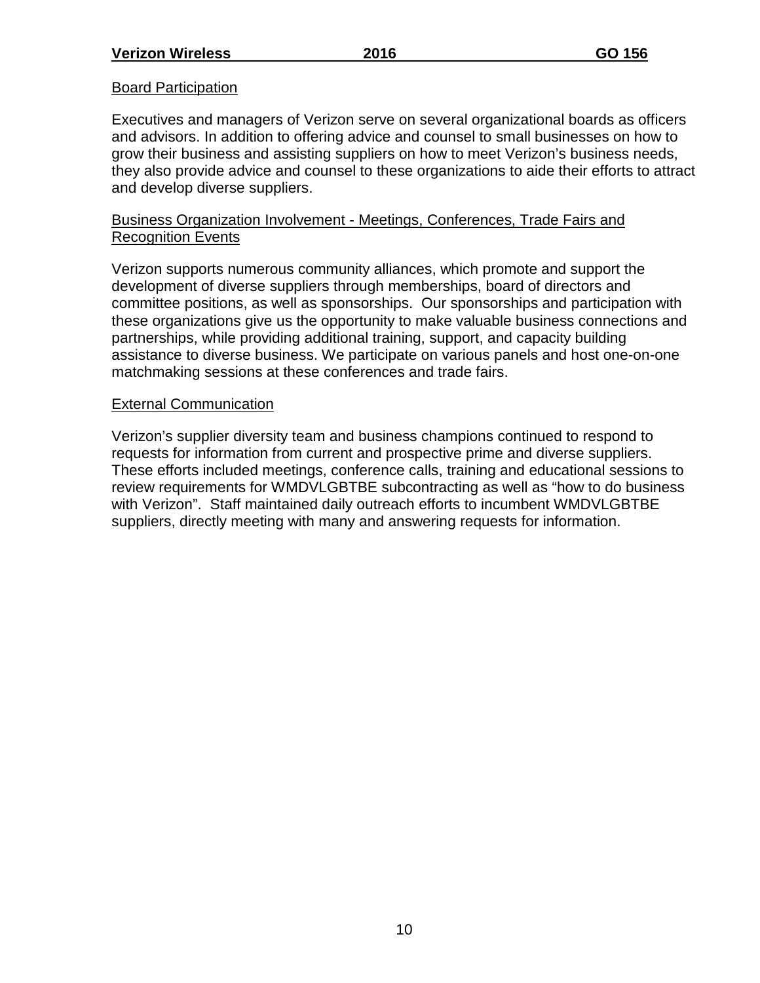#### **Board Participation**

Executives and managers of Verizon serve on several organizational boards as officers and advisors. In addition to offering advice and counsel to small businesses on how to grow their business and assisting suppliers on how to meet Verizon's business needs, they also provide advice and counsel to these organizations to aide their efforts to attract and develop diverse suppliers.

#### Business Organization Involvement - Meetings, Conferences, Trade Fairs and Recognition Events

Verizon supports numerous community alliances, which promote and support the development of diverse suppliers through memberships, board of directors and committee positions, as well as sponsorships. Our sponsorships and participation with these organizations give us the opportunity to make valuable business connections and partnerships, while providing additional training, support, and capacity building assistance to diverse business. We participate on various panels and host one-on-one matchmaking sessions at these conferences and trade fairs.

#### External Communication

Verizon's supplier diversity team and business champions continued to respond to requests for information from current and prospective prime and diverse suppliers. These efforts included meetings, conference calls, training and educational sessions to review requirements for WMDVLGBTBE subcontracting as well as "how to do business with Verizon". Staff maintained daily outreach efforts to incumbent WMDVLGBTBE suppliers, directly meeting with many and answering requests for information.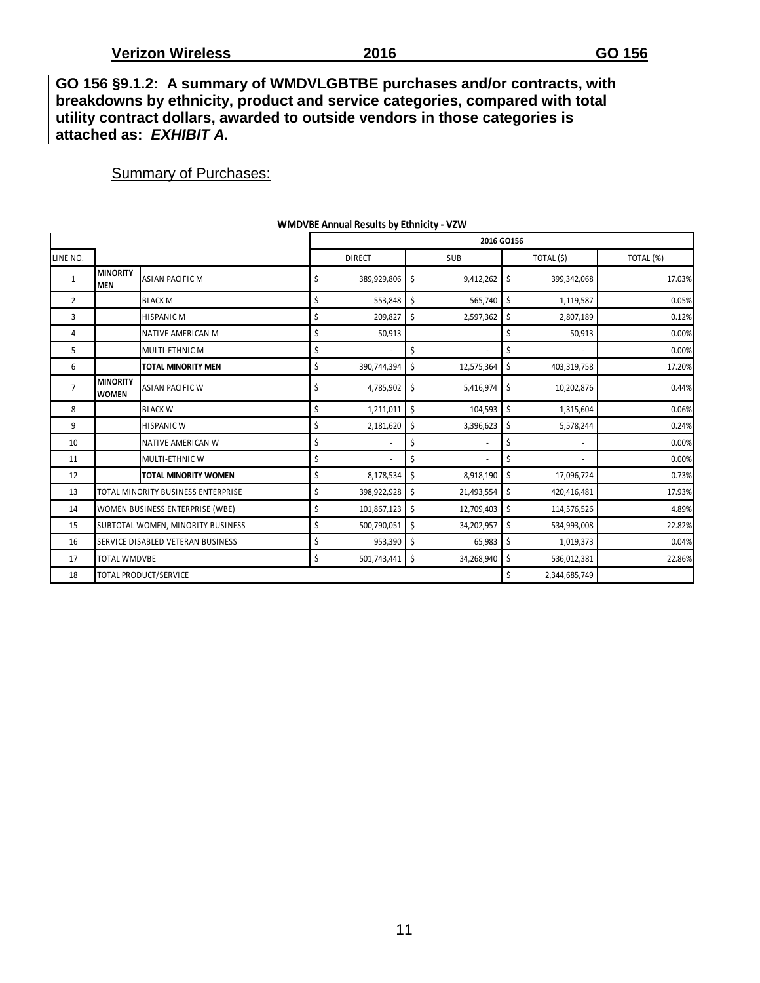**GO 156 §9.1.2: A summary of WMDVLGBTBE purchases and/or contracts, with breakdowns by ethnicity, product and service categories, compared with total utility contract dollars, awarded to outside vendors in those categories is attached as:** *EXHIBIT A.*

#### **Summary of Purchases:**

|                |                                 |                                    |                   |    | 2016 GO156 |    |                |           |
|----------------|---------------------------------|------------------------------------|-------------------|----|------------|----|----------------|-----------|
| LINE NO.       |                                 |                                    | <b>DIRECT</b>     |    | SUB        |    | TOTAL (\$)     | TOTAL (%) |
| 1              | <b>MINORITY</b><br><b>MEN</b>   | <b>ASIAN PACIFIC M</b>             | \$<br>389,929,806 | \$ | 9,412,262  | \$ | 399,342,068    | 17.03%    |
| $\overline{2}$ |                                 | <b>BLACK M</b>                     | \$<br>553,848     | \$ | 565,740    | \$ | 1,119,587      | 0.05%     |
| 3              |                                 | <b>HISPANIC M</b>                  | \$<br>209,827     | \$ | 2,597,362  | \$ | 2,807,189      | 0.12%     |
| 4              |                                 | NATIVE AMERICAN M                  | \$<br>50,913      |    |            | \$ | 50,913         | 0.00%     |
| 5              |                                 | MULTI-ETHNIC M                     | \$                | \$ | ٠          | \$ | $\blacksquare$ | 0.00%     |
| 6              |                                 | <b>TOTAL MINORITY MEN</b>          | \$<br>390,744,394 | \$ | 12,575,364 | \$ | 403,319,758    | 17.20%    |
| $\overline{7}$ | <b>MINORITY</b><br><b>WOMEN</b> | <b>ASIAN PACIFIC W</b>             | \$<br>4,785,902   | \$ | 5,416,974  | \$ | 10,202,876     | 0.44%     |
| 8              |                                 | <b>BLACK W</b>                     | \$<br>1,211,011   | \$ | 104,593    | \$ | 1,315,604      | 0.06%     |
| 9              |                                 | <b>HISPANIC W</b>                  | \$<br>2,181,620   | Ŝ. | 3,396,623  | \$ | 5,578,244      | 0.24%     |
| 10             |                                 | NATIVE AMERICAN W                  | \$                | \$ |            | \$ |                | 0.00%     |
| 11             |                                 | MULTI-ETHNIC W                     | \$                | \$ |            | \$ | $\sim$         | 0.00%     |
| 12             |                                 | <b>TOTAL MINORITY WOMEN</b>        | \$<br>8,178,534   | \$ | 8,918,190  | \$ | 17,096,724     | 0.73%     |
| 13             |                                 | TOTAL MINORITY BUSINESS ENTERPRISE | \$<br>398,922,928 | \$ | 21,493,554 | \$ | 420,416,481    | 17.93%    |
| 14             |                                 | WOMEN BUSINESS ENTERPRISE (WBE)    | \$<br>101,867,123 | \$ | 12,709,403 | \$ | 114,576,526    | 4.89%     |
| 15             |                                 | SUBTOTAL WOMEN, MINORITY BUSINESS  | \$<br>500,790,051 | \$ | 34,202,957 | \$ | 534,993,008    | 22.82%    |
| 16             |                                 | SERVICE DISABLED VETERAN BUSINESS  | \$<br>953,390     | \$ | 65,983     | \$ | 1,019,373      | 0.04%     |
| 17             | <b>TOTAL WMDVBE</b>             |                                    | \$<br>501,743,441 | \$ | 34,268,940 | \$ | 536,012,381    | 22.86%    |
| 18             |                                 | TOTAL PRODUCT/SERVICE              |                   |    |            | \$ | 2,344,685,749  |           |

#### **WMDVBE Annual Results by Ethnicity - VZW**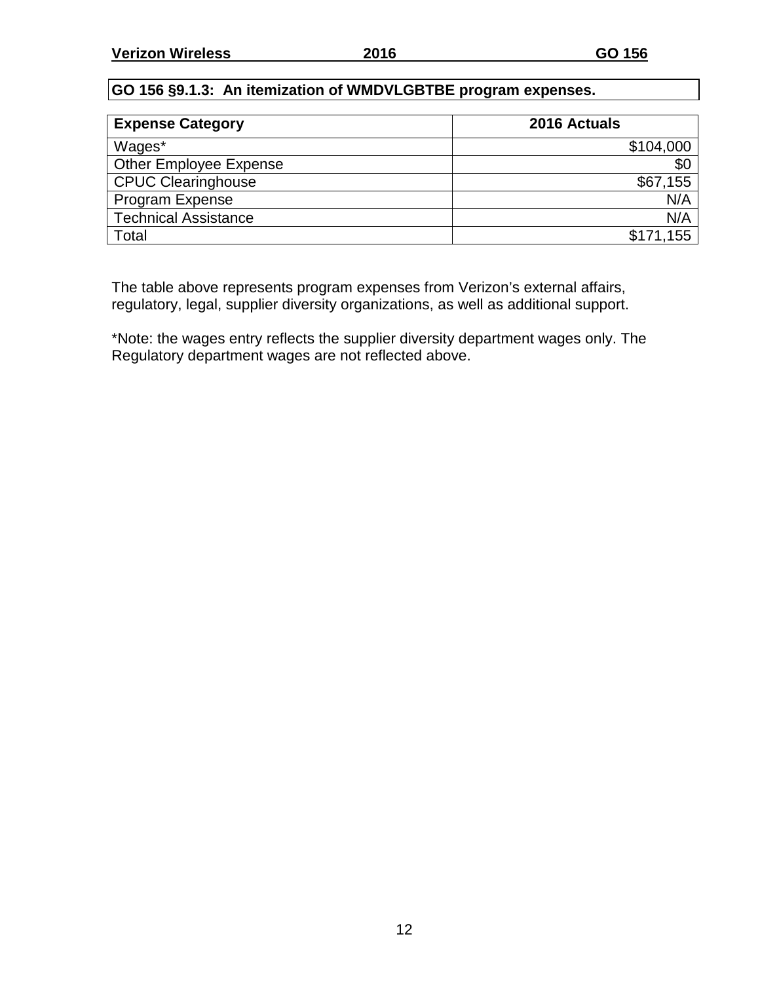#### **GO 156 §9.1.3: An itemization of WMDVLGBTBE program expenses.**

| <b>Expense Category</b>       | 2016 Actuals |
|-------------------------------|--------------|
| Wages*                        | \$104,000    |
| <b>Other Employee Expense</b> | \$0          |
| <b>CPUC Clearinghouse</b>     | \$67,155     |
| Program Expense               | N/A          |
| <b>Technical Assistance</b>   | N/A          |
| Total                         | \$171,155    |

The table above represents program expenses from Verizon's external affairs, regulatory, legal, supplier diversity organizations, as well as additional support.

\*Note: the wages entry reflects the supplier diversity department wages only. The Regulatory department wages are not reflected above.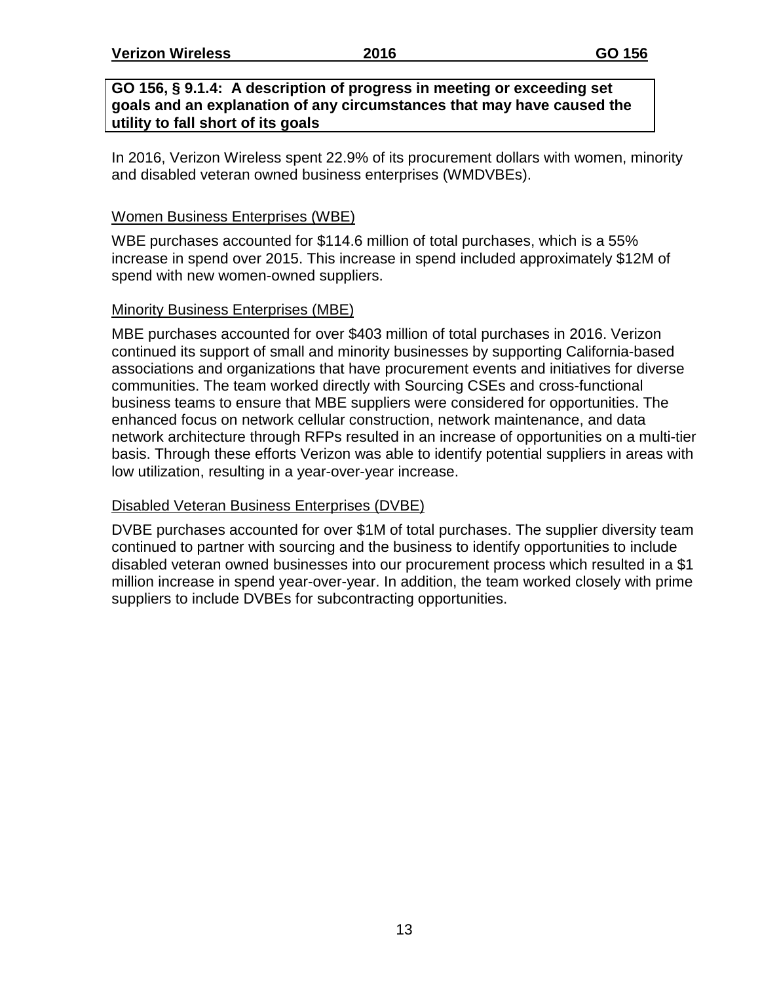#### **GO 156, § 9.1.4: A description of progress in meeting or exceeding set goals and an explanation of any circumstances that may have caused the utility to fall short of its goals**

In 2016, Verizon Wireless spent 22.9% of its procurement dollars with women, minority and disabled veteran owned business enterprises (WMDVBEs).

#### Women Business Enterprises (WBE)

WBE purchases accounted for \$114.6 million of total purchases, which is a 55% increase in spend over 2015. This increase in spend included approximately \$12M of spend with new women-owned suppliers.

#### Minority Business Enterprises (MBE)

MBE purchases accounted for over \$403 million of total purchases in 2016. Verizon continued its support of small and minority businesses by supporting California-based associations and organizations that have procurement events and initiatives for diverse communities. The team worked directly with Sourcing CSEs and cross-functional business teams to ensure that MBE suppliers were considered for opportunities. The enhanced focus on network cellular construction, network maintenance, and data network architecture through RFPs resulted in an increase of opportunities on a multi-tier basis. Through these efforts Verizon was able to identify potential suppliers in areas with low utilization, resulting in a year-over-year increase.

#### Disabled Veteran Business Enterprises (DVBE)

DVBE purchases accounted for over \$1M of total purchases. The supplier diversity team continued to partner with sourcing and the business to identify opportunities to include disabled veteran owned businesses into our procurement process which resulted in a \$1 million increase in spend year-over-year. In addition, the team worked closely with prime suppliers to include DVBEs for subcontracting opportunities.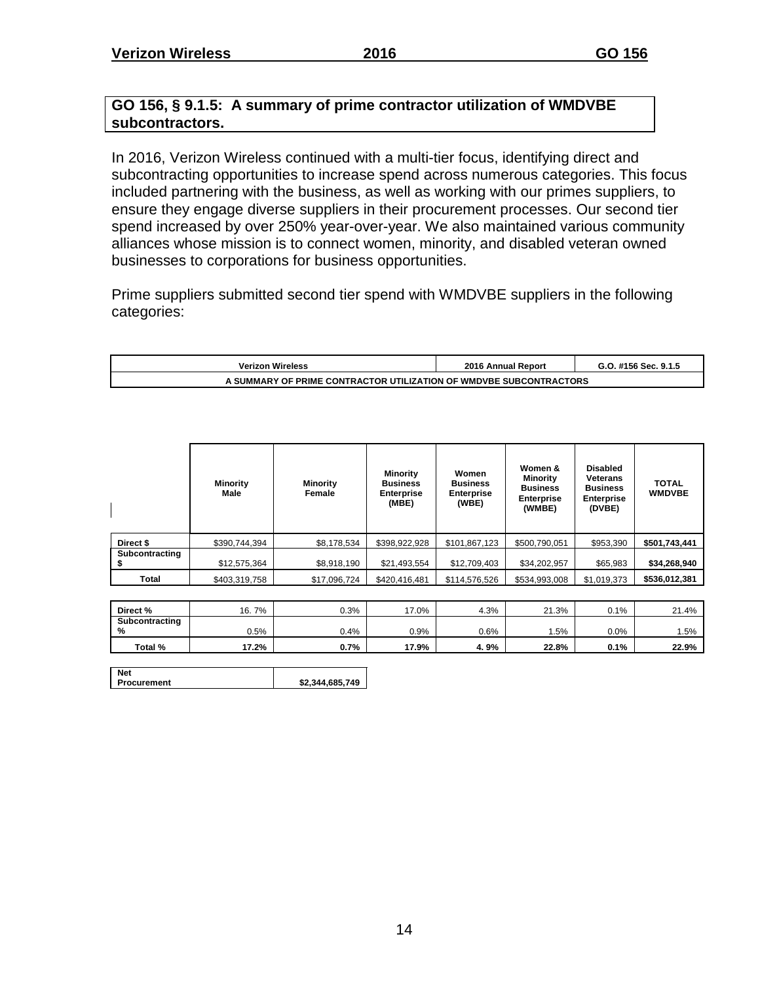#### **GO 156, § 9.1.5: A summary of prime contractor utilization of WMDVBE subcontractors.**

In 2016, Verizon Wireless continued with a multi-tier focus, identifying direct and subcontracting opportunities to increase spend across numerous categories. This focus included partnering with the business, as well as working with our primes suppliers, to ensure they engage diverse suppliers in their procurement processes. Our second tier spend increased by over 250% year-over-year. We also maintained various community alliances whose mission is to connect women, minority, and disabled veteran owned businesses to corporations for business opportunities.

Prime suppliers submitted second tier spend with WMDVBE suppliers in the following categories:

| <b>Verizon Wireless</b>                                            | 2016 Annual Report | G.O. #156 Sec. 9.1.5 |  |  |  |  |  |  |  |  |  |
|--------------------------------------------------------------------|--------------------|----------------------|--|--|--|--|--|--|--|--|--|
| \ SUMMARY OF PRIME CONTRACTOR UTILIZATION OF WMDVBE SUBCONTRACTORS |                    |                      |  |  |  |  |  |  |  |  |  |

|                | <b>Minority</b><br>Male | <b>Minority</b><br>Female | <b>Minority</b><br><b>Business</b><br><b>Enterprise</b><br>(MBE) | Women<br><b>Business</b><br><b>Enterprise</b><br>(WBE) | Women &<br><b>Minority</b><br><b>Business</b><br><b>Enterprise</b><br>(WMBE) | <b>Disabled</b><br>Veterans<br><b>Business</b><br><b>Enterprise</b><br>(DVBE) | <b>TOTAL</b><br><b>WMDVBE</b> |
|----------------|-------------------------|---------------------------|------------------------------------------------------------------|--------------------------------------------------------|------------------------------------------------------------------------------|-------------------------------------------------------------------------------|-------------------------------|
| Direct \$      | \$390,744,394           | \$8,178,534               | \$398,922,928                                                    | \$101,867,123                                          | \$500,790,051                                                                | \$953,390                                                                     | \$501,743,441                 |
| Subcontracting | \$12,575,364            | \$8,918,190               | \$21,493,554                                                     | \$12,709,403                                           | \$34,202,957                                                                 | \$65,983                                                                      | \$34,268,940                  |
| Total          | \$403,319,758           | \$17,096,724              | \$420,416,481                                                    | \$114,576,526                                          | \$534,993,008                                                                | \$1,019,373                                                                   | \$536,012,381                 |
|                |                         |                           |                                                                  |                                                        |                                                                              |                                                                               |                               |

| Direct %       | 7%<br>16. | 0.3% | 17.0% | 4.3% | 21.3% | 0.1% | 21.4% |
|----------------|-----------|------|-------|------|-------|------|-------|
| Subcontracting |           |      |       |      |       |      |       |
| %              | 0.5%      | J.4% | 0.9%  | 0.6% | . 5%  | 0.0% | 1.5%  |
| Total %        | 17.2%     | 0.7% | 17.9% | 4.9% | 22.8% | 0.1% | 22.9% |

| <b>Procurement</b> | \$2,344,685,749 |
|--------------------|-----------------|
|--------------------|-----------------|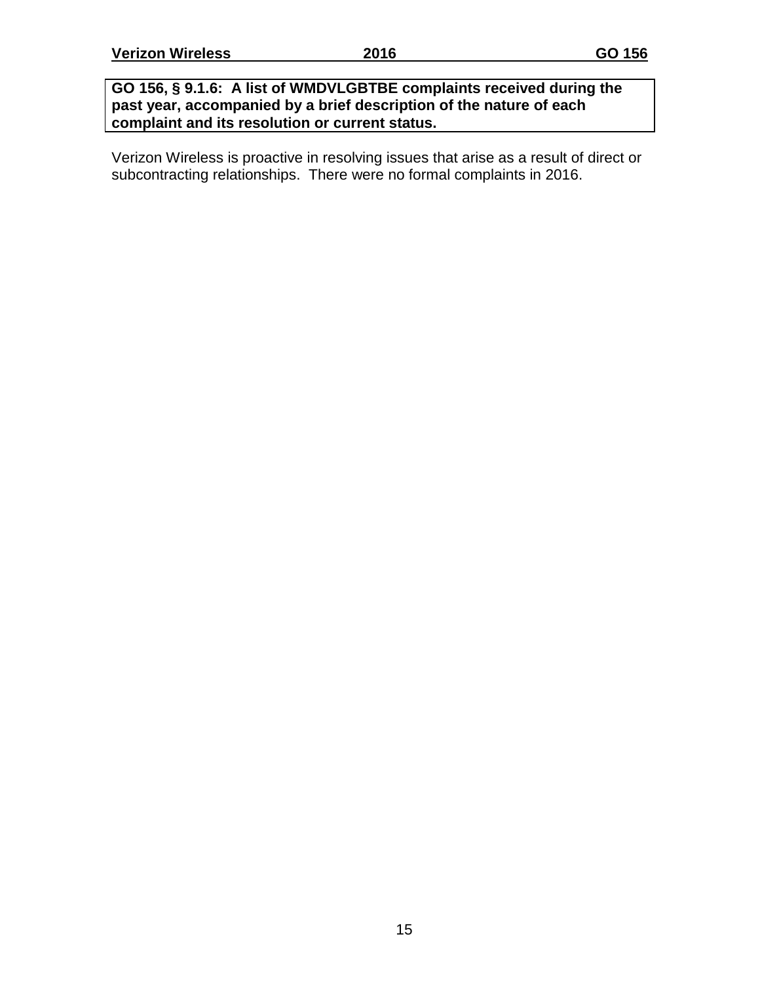#### **GO 156, § 9.1.6: A list of WMDVLGBTBE complaints received during the past year, accompanied by a brief description of the nature of each complaint and its resolution or current status.**

Verizon Wireless is proactive in resolving issues that arise as a result of direct or subcontracting relationships. There were no formal complaints in 2016.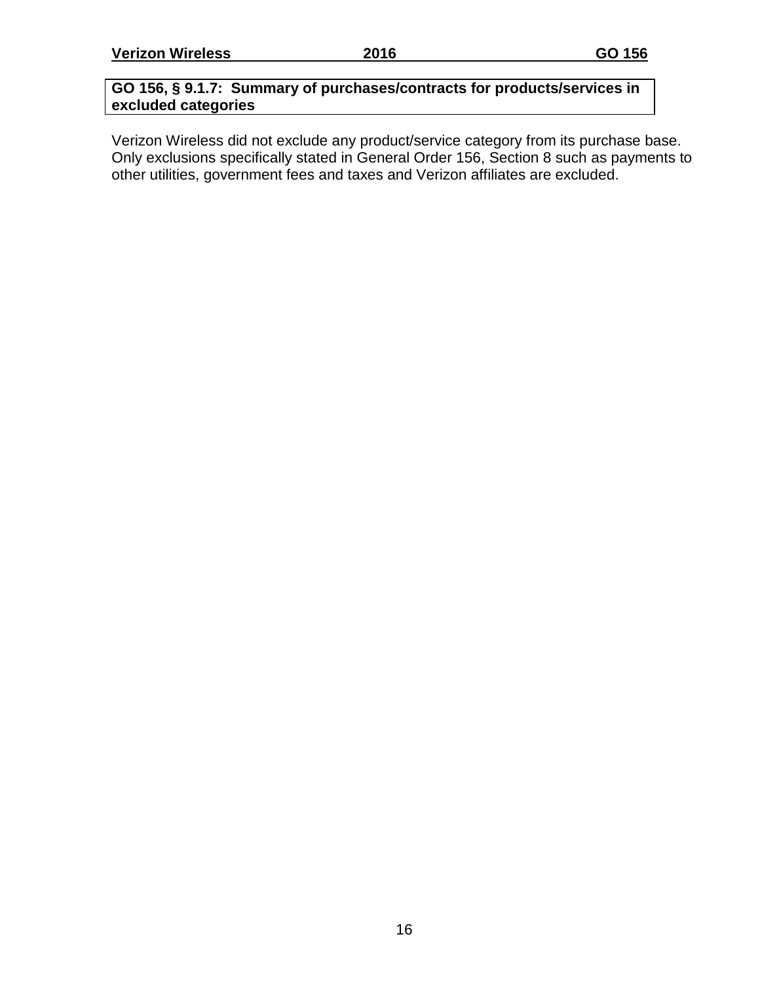#### **GO 156, § 9.1.7: Summary of purchases/contracts for products/services in excluded categories**

Verizon Wireless did not exclude any product/service category from its purchase base. Only exclusions specifically stated in General Order 156, Section 8 such as payments to other utilities, government fees and taxes and Verizon affiliates are excluded.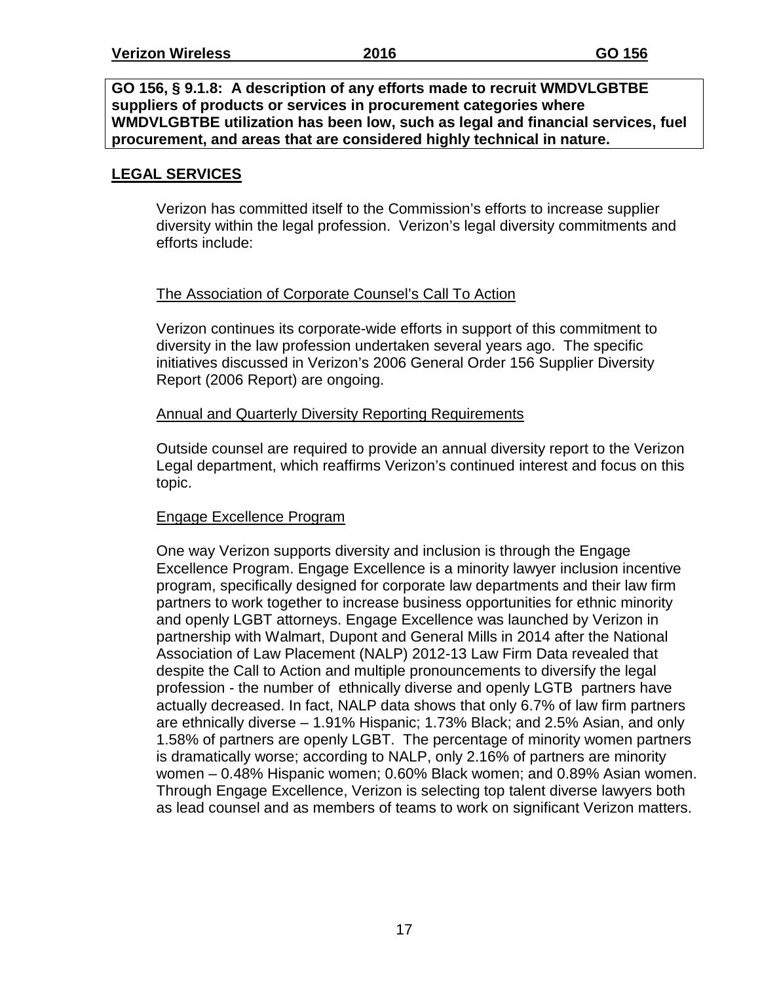#### **GO 156, § 9.1.8: A description of any efforts made to recruit WMDVLGBTBE suppliers of products or services in procurement categories where WMDVLGBTBE utilization has been low, such as legal and financial services, fuel procurement, and areas that are considered highly technical in nature.**

#### **LEGAL SERVICES**

Verizon has committed itself to the Commission's efforts to increase supplier diversity within the legal profession. Verizon's legal diversity commitments and efforts include:

#### The Association of Corporate Counsel's Call To Action

Verizon continues its corporate-wide efforts in support of this commitment to diversity in the law profession undertaken several years ago. The specific initiatives discussed in Verizon's 2006 General Order 156 Supplier Diversity Report (2006 Report) are ongoing.

#### Annual and Quarterly Diversity Reporting Requirements

Outside counsel are required to provide an annual diversity report to the Verizon Legal department, which reaffirms Verizon's continued interest and focus on this topic.

#### Engage Excellence Program

One way Verizon supports diversity and inclusion is through the Engage Excellence Program. Engage Excellence is a minority lawyer inclusion incentive program, specifically designed for corporate law departments and their law firm partners to work together to increase business opportunities for ethnic minority and openly LGBT attorneys. Engage Excellence was launched by Verizon in partnership with Walmart, Dupont and General Mills in 2014 after the National Association of Law Placement (NALP) 2012-13 Law Firm Data revealed that despite the Call to Action and multiple pronouncements to diversify the legal profession - the number of ethnically diverse and openly LGTB partners have actually decreased. In fact, NALP data shows that only 6.7% of law firm partners are ethnically diverse – 1.91% Hispanic; 1.73% Black; and 2.5% Asian, and only 1.58% of partners are openly LGBT. The percentage of minority women partners is dramatically worse; according to NALP, only 2.16% of partners are minority women – 0.48% Hispanic women; 0.60% Black women; and 0.89% Asian women. Through Engage Excellence, Verizon is selecting top talent diverse lawyers both as lead counsel and as members of teams to work on significant Verizon matters.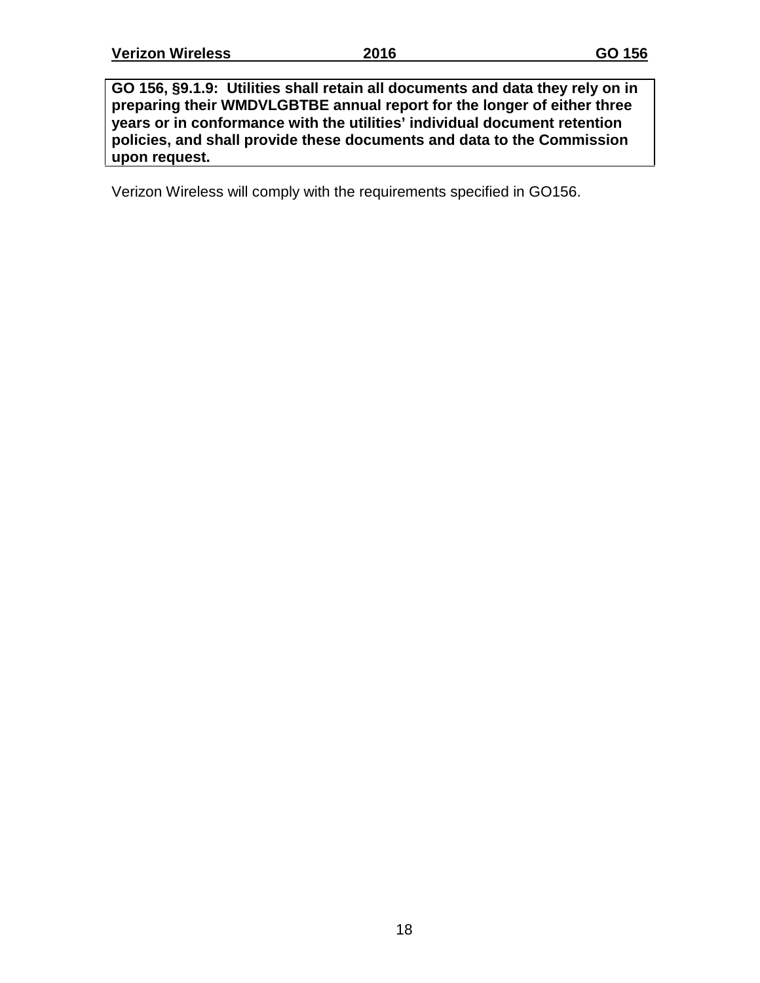**GO 156, §9.1.9: Utilities shall retain all documents and data they rely on in preparing their WMDVLGBTBE annual report for the longer of either three years or in conformance with the utilities' individual document retention policies, and shall provide these documents and data to the Commission upon request.**

Verizon Wireless will comply with the requirements specified in GO156.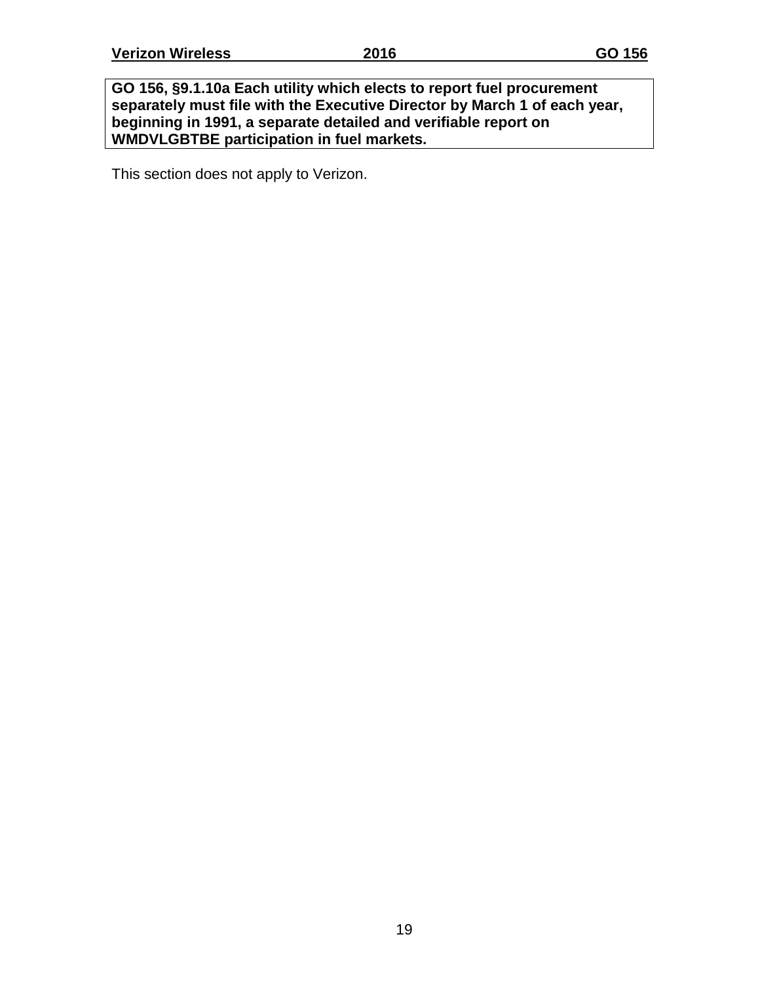**GO 156, §9.1.10a Each utility which elects to report fuel procurement separately must file with the Executive Director by March 1 of each year, beginning in 1991, a separate detailed and verifiable report on WMDVLGBTBE participation in fuel markets.**

This section does not apply to Verizon.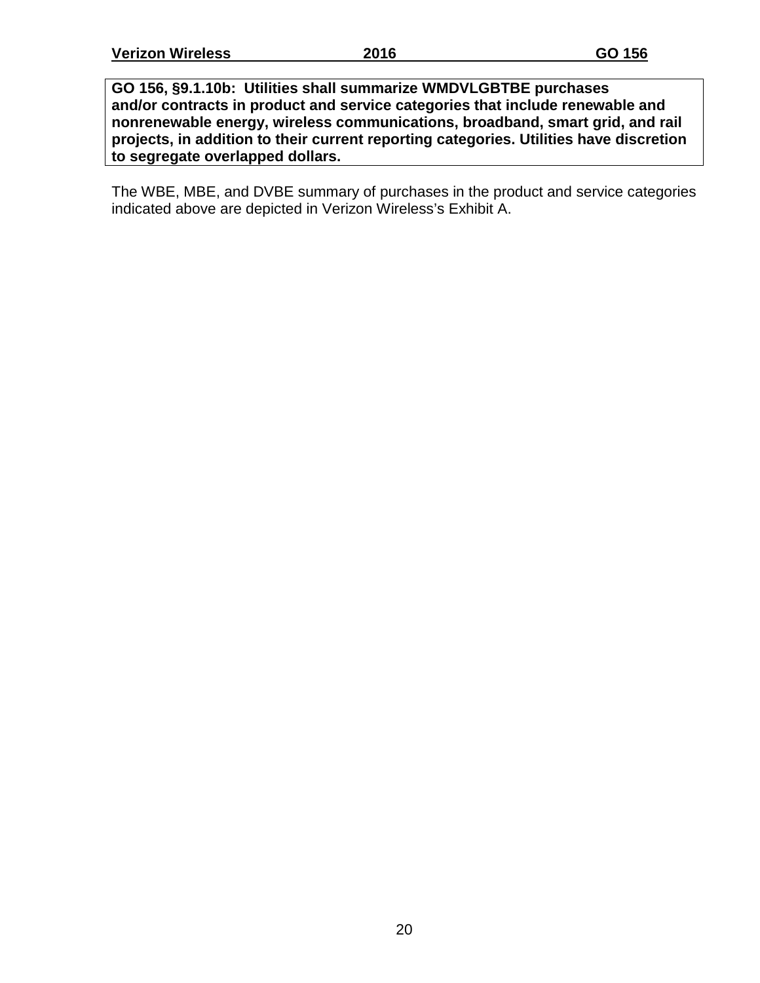**GO 156, §9.1.10b: Utilities shall summarize WMDVLGBTBE purchases and/or contracts in product and service categories that include renewable and nonrenewable energy, wireless communications, broadband, smart grid, and rail projects, in addition to their current reporting categories. Utilities have discretion to segregate overlapped dollars.**

The WBE, MBE, and DVBE summary of purchases in the product and service categories indicated above are depicted in Verizon Wireless's Exhibit A.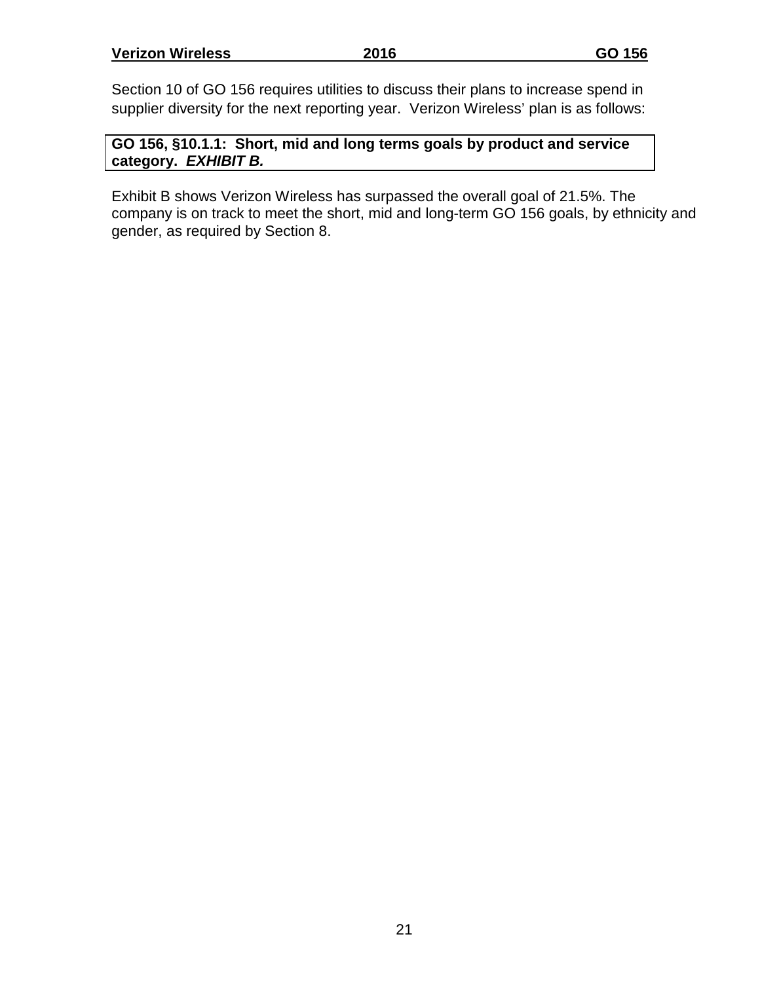Section 10 of GO 156 requires utilities to discuss their plans to increase spend in supplier diversity for the next reporting year. Verizon Wireless' plan is as follows:

**GO 156, §10.1.1: Short, mid and long terms goals by product and service category.** *EXHIBIT B.*

Exhibit B shows Verizon Wireless has surpassed the overall goal of 21.5%. The company is on track to meet the short, mid and long-term GO 156 goals, by ethnicity and gender, as required by Section 8.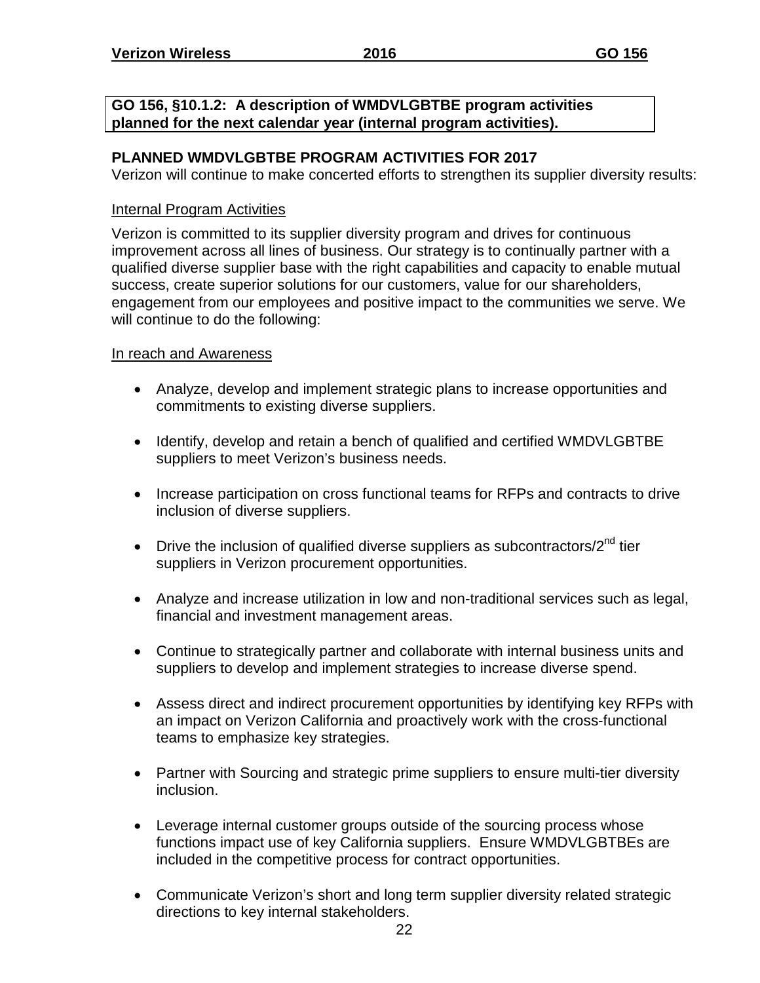**GO 156, §10.1.2: A description of WMDVLGBTBE program activities planned for the next calendar year (internal program activities).**

#### **PLANNED WMDVLGBTBE PROGRAM ACTIVITIES FOR 2017**

Verizon will continue to make concerted efforts to strengthen its supplier diversity results:

#### Internal Program Activities

Verizon is committed to its supplier diversity program and drives for continuous improvement across all lines of business. Our strategy is to continually partner with a qualified diverse supplier base with the right capabilities and capacity to enable mutual success, create superior solutions for our customers, value for our shareholders, engagement from our employees and positive impact to the communities we serve. We will continue to do the following:

#### In reach and Awareness

- Analyze, develop and implement strategic plans to increase opportunities and commitments to existing diverse suppliers.
- Identify, develop and retain a bench of qualified and certified WMDVLGBTBE suppliers to meet Verizon's business needs.
- Increase participation on cross functional teams for RFPs and contracts to drive inclusion of diverse suppliers.
- Drive the inclusion of qualified diverse suppliers as subcontractors/ $2<sup>nd</sup>$  tier suppliers in Verizon procurement opportunities.
- Analyze and increase utilization in low and non-traditional services such as legal, financial and investment management areas.
- Continue to strategically partner and collaborate with internal business units and suppliers to develop and implement strategies to increase diverse spend.
- Assess direct and indirect procurement opportunities by identifying key RFPs with an impact on Verizon California and proactively work with the cross-functional teams to emphasize key strategies.
- Partner with Sourcing and strategic prime suppliers to ensure multi-tier diversity inclusion.
- Leverage internal customer groups outside of the sourcing process whose functions impact use of key California suppliers. Ensure WMDVLGBTBEs are included in the competitive process for contract opportunities.
- Communicate Verizon's short and long term supplier diversity related strategic directions to key internal stakeholders.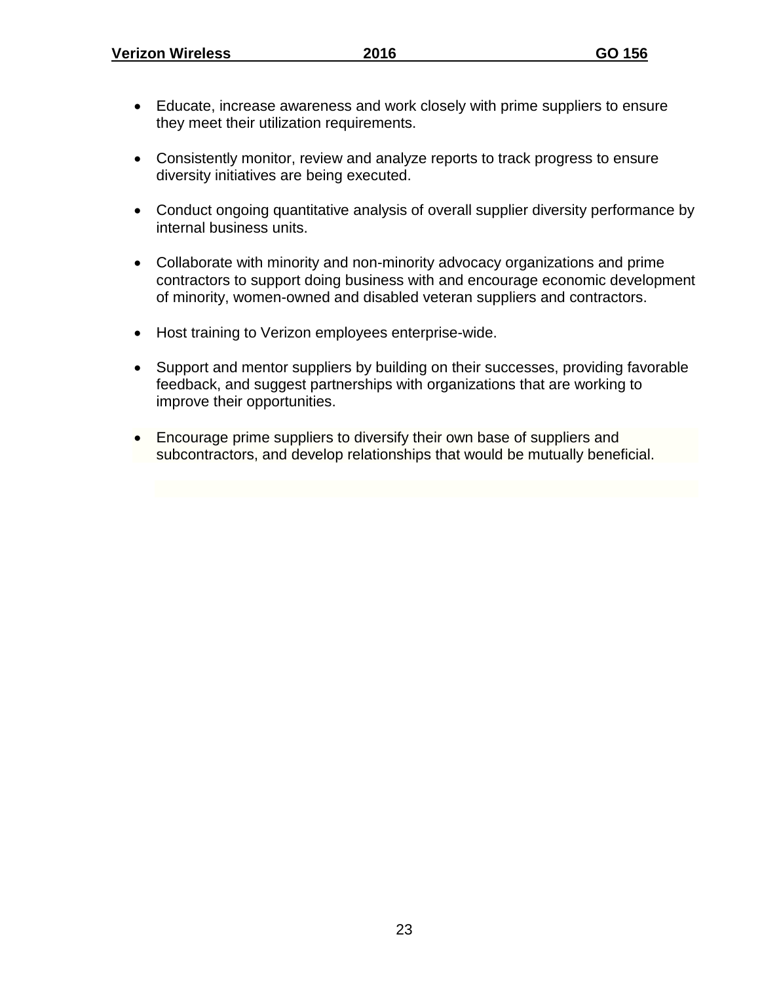- Educate, increase awareness and work closely with prime suppliers to ensure they meet their utilization requirements.
- Consistently monitor, review and analyze reports to track progress to ensure diversity initiatives are being executed.
- Conduct ongoing quantitative analysis of overall supplier diversity performance by internal business units.
- Collaborate with minority and non-minority advocacy organizations and prime contractors to support doing business with and encourage economic development of minority, women-owned and disabled veteran suppliers and contractors.
- Host training to Verizon employees enterprise-wide.
- Support and mentor suppliers by building on their successes, providing favorable feedback, and suggest partnerships with organizations that are working to improve their opportunities.
- Encourage prime suppliers to diversify their own base of suppliers and subcontractors, and develop relationships that would be mutually beneficial.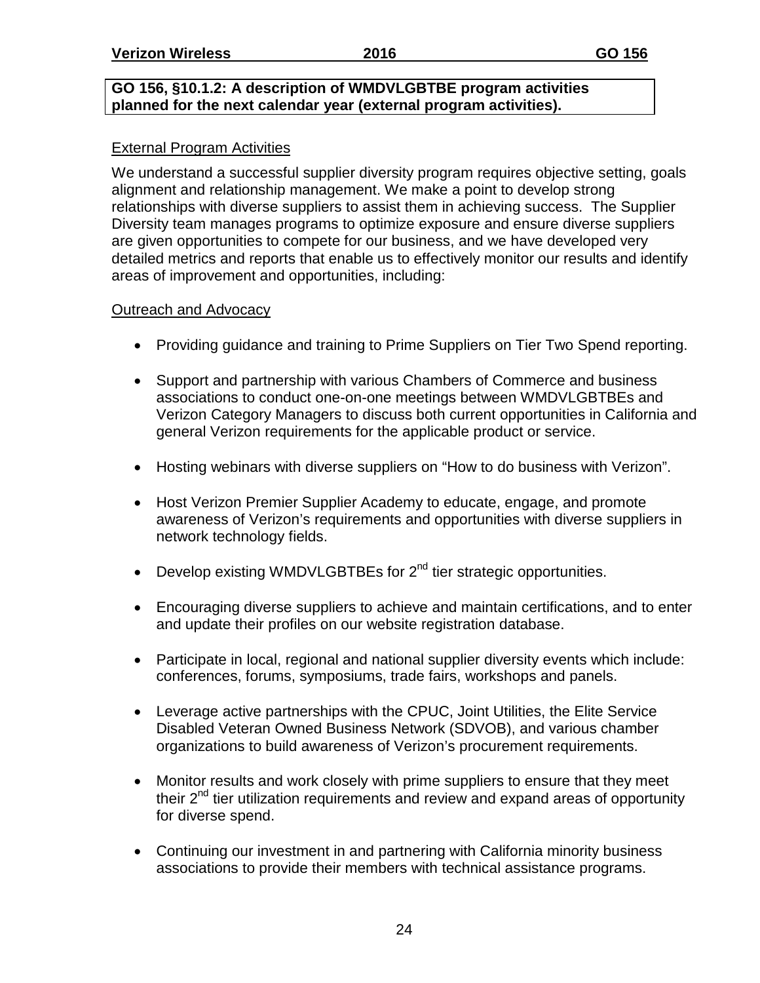#### **GO 156, §10.1.2: A description of WMDVLGBTBE program activities planned for the next calendar year (external program activities).**

#### External Program Activities

We understand a successful supplier diversity program requires objective setting, goals alignment and relationship management. We make a point to develop strong relationships with diverse suppliers to assist them in achieving success. The Supplier Diversity team manages programs to optimize exposure and ensure diverse suppliers are given opportunities to compete for our business, and we have developed very detailed metrics and reports that enable us to effectively monitor our results and identify areas of improvement and opportunities, including:

#### Outreach and Advocacy

- Providing guidance and training to Prime Suppliers on Tier Two Spend reporting.
- Support and partnership with various Chambers of Commerce and business associations to conduct one-on-one meetings between WMDVLGBTBEs and Verizon Category Managers to discuss both current opportunities in California and general Verizon requirements for the applicable product or service.
- Hosting webinars with diverse suppliers on "How to do business with Verizon".
- Host Verizon Premier Supplier Academy to educate, engage, and promote awareness of Verizon's requirements and opportunities with diverse suppliers in network technology fields.
- Develop existing WMDVLGBTBEs for 2<sup>nd</sup> tier strategic opportunities.
- Encouraging diverse suppliers to achieve and maintain certifications, and to enter and update their profiles on our website registration database.
- Participate in local, regional and national supplier diversity events which include: conferences, forums, symposiums, trade fairs, workshops and panels.
- Leverage active partnerships with the CPUC, Joint Utilities, the Elite Service Disabled Veteran Owned Business Network (SDVOB), and various chamber organizations to build awareness of Verizon's procurement requirements.
- Monitor results and work closely with prime suppliers to ensure that they meet their  $2^{nd}$  tier utilization requirements and review and expand areas of opportunity for diverse spend.
- Continuing our investment in and partnering with California minority business associations to provide their members with technical assistance programs.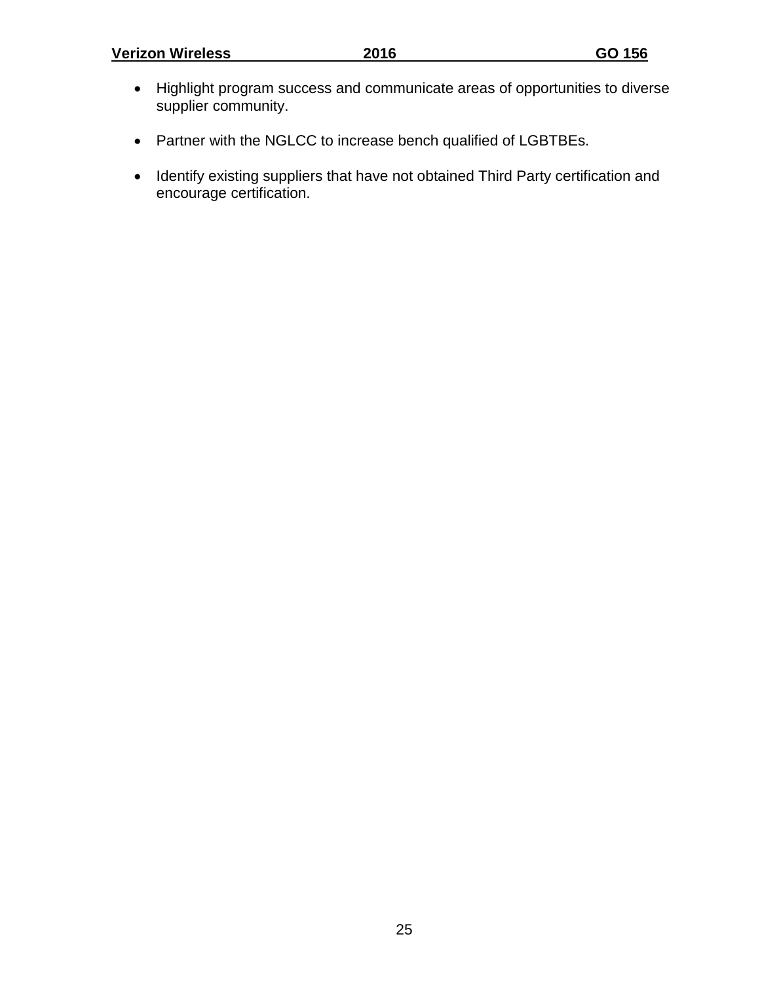- Highlight program success and communicate areas of opportunities to diverse supplier community.
- Partner with the NGLCC to increase bench qualified of LGBTBEs.
- Identify existing suppliers that have not obtained Third Party certification and encourage certification.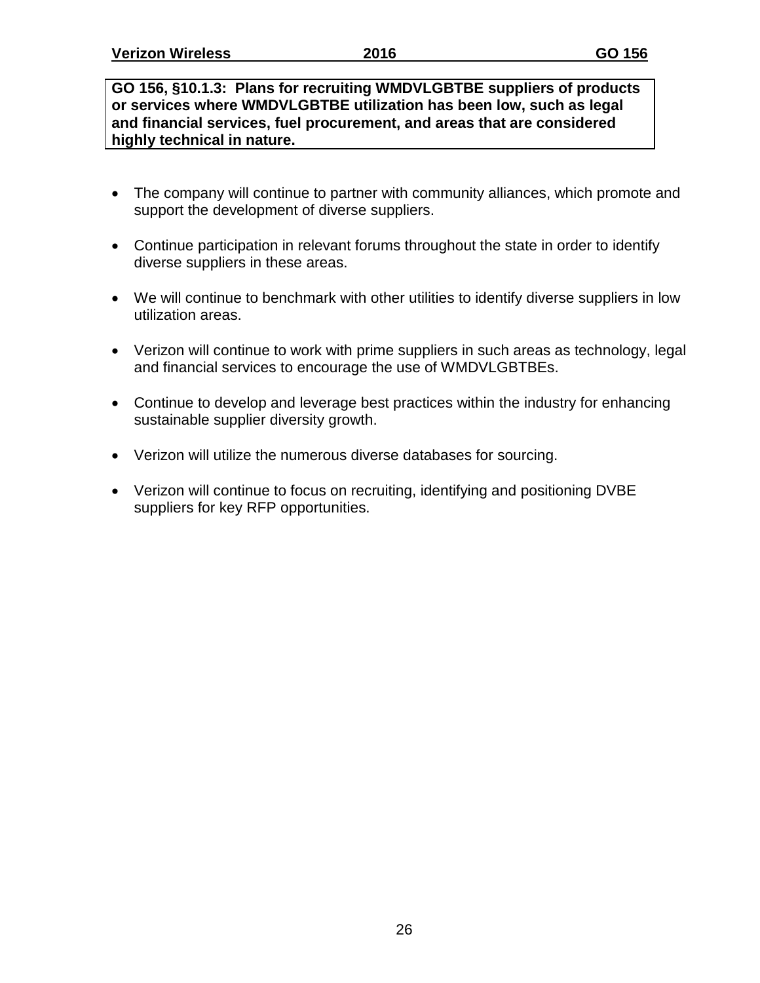**GO 156, §10.1.3: Plans for recruiting WMDVLGBTBE suppliers of products or services where WMDVLGBTBE utilization has been low, such as legal and financial services, fuel procurement, and areas that are considered highly technical in nature.**

- The company will continue to partner with community alliances, which promote and support the development of diverse suppliers.
- Continue participation in relevant forums throughout the state in order to identify diverse suppliers in these areas.
- We will continue to benchmark with other utilities to identify diverse suppliers in low utilization areas.
- Verizon will continue to work with prime suppliers in such areas as technology, legal and financial services to encourage the use of WMDVLGBTBEs.
- Continue to develop and leverage best practices within the industry for enhancing sustainable supplier diversity growth.
- Verizon will utilize the numerous diverse databases for sourcing.
- Verizon will continue to focus on recruiting, identifying and positioning DVBE suppliers for key RFP opportunities.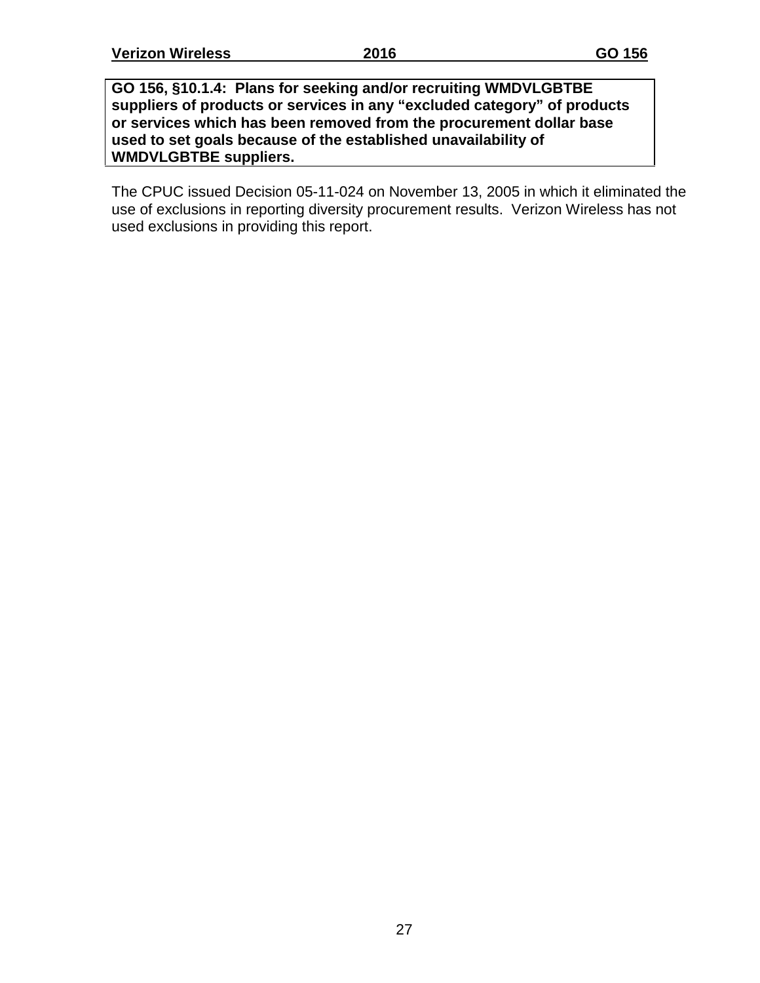**GO 156, §10.1.4: Plans for seeking and/or recruiting WMDVLGBTBE suppliers of products or services in any "excluded category" of products or services which has been removed from the procurement dollar base used to set goals because of the established unavailability of WMDVLGBTBE suppliers.**

The CPUC issued Decision 05-11-024 on November 13, 2005 in which it eliminated the use of exclusions in reporting diversity procurement results. Verizon Wireless has not used exclusions in providing this report.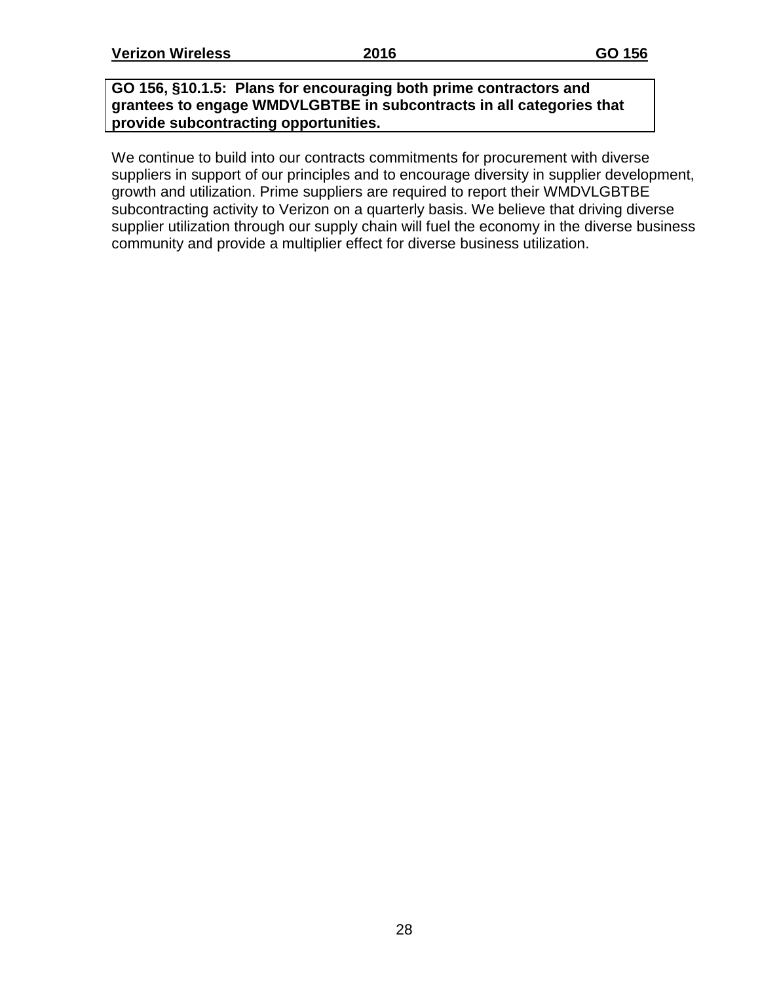#### **GO 156, §10.1.5: Plans for encouraging both prime contractors and grantees to engage WMDVLGBTBE in subcontracts in all categories that provide subcontracting opportunities.**

We continue to build into our contracts commitments for procurement with diverse suppliers in support of our principles and to encourage diversity in supplier development, growth and utilization. Prime suppliers are required to report their WMDVLGBTBE subcontracting activity to Verizon on a quarterly basis. We believe that driving diverse supplier utilization through our supply chain will fuel the economy in the diverse business community and provide a multiplier effect for diverse business utilization.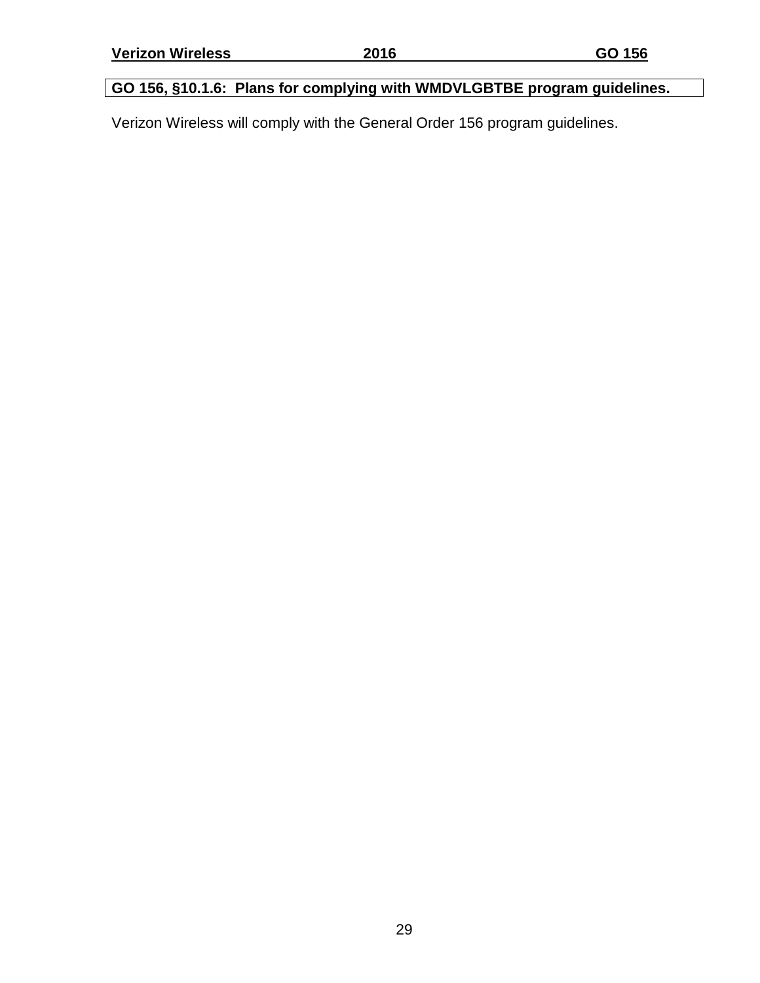### **GO 156, §10.1.6: Plans for complying with WMDVLGBTBE program guidelines.**

Verizon Wireless will comply with the General Order 156 program guidelines.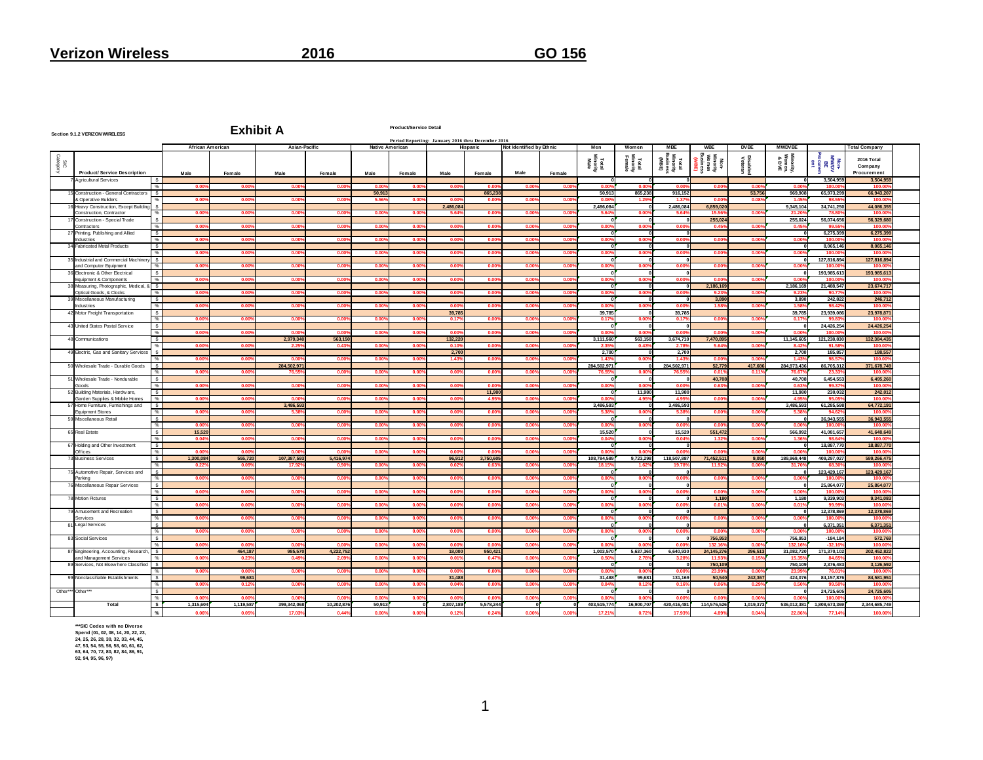|                 | <b>Product/Service Detail</b><br><b>Exhibit A</b><br>Section 9.1.2 VERIZON WIRELESS<br>Period Reporting: January 2016 thru December 2016 |                                 |                         |                   |                     |                    |                 |                 |                   |                   |                          |                |                           |                             |                                        |                                                  |                            |                              |                                        |                                      |  |
|-----------------|------------------------------------------------------------------------------------------------------------------------------------------|---------------------------------|-------------------------|-------------------|---------------------|--------------------|-----------------|-----------------|-------------------|-------------------|--------------------------|----------------|---------------------------|-----------------------------|----------------------------------------|--------------------------------------------------|----------------------------|------------------------------|----------------------------------------|--------------------------------------|--|
|                 |                                                                                                                                          |                                 | <b>African American</b> |                   | Asian-Pacific       |                    | Native American |                 |                   | Hispanic          | Not Identified by Ethnic |                | Men                       | Women                       | <b>MBE</b>                             | <b>WBE</b>                                       | <b>DVBE</b>                | <b>MWDVBE</b>                |                                        | <b>Total Company</b>                 |  |
| SIC<br>Category | <b>Product/Service Description</b>                                                                                                       |                                 | Male                    | Female            | Male                | Female             | Male            | Female          | Male              | Female            | Male                     | Female         | Total<br>Minority<br>Male | Total<br>Minority<br>Female | Total<br>Minority<br>Business<br>(MBE) | Non-<br>Winority<br>Women<br>Business<br>Busines | <b>Disabled</b><br>Veteran | Minority,<br>Women,<br>& DVE | Non-<br>MWDV<br>Procurem<br>ent<br>ent | 2016 Total<br>Company<br>Procurement |  |
|                 | Agricultural Services                                                                                                                    |                                 |                         |                   |                     |                    |                 |                 |                   |                   |                          |                |                           |                             |                                        |                                                  |                            | $\sqrt{2}$                   | 3.504.959                              | 3.504.959                            |  |
|                 | Construction - General Contractors                                                                                                       | $O_{\text{A}}$<br>s.            | 00                      | 0.00              | 0.00                | 0.00               | 0.00<br>50,913  | 00 <sup>0</sup> | 0.00              | 0.00<br>865,238   | 0.00                     | 000            | <b>O</b> OI<br>50,913     | 0 <sub>m</sub><br>865.238   | 0 <sub>0</sub><br>916,152              | 0 <sub>0</sub>                                   | 0 <sub>0</sub><br>53,756   | 0.00<br>969,908              | 100 $f$<br>65,973,299                  | 100.0<br>66,943,207                  |  |
|                 | & Operative Builders                                                                                                                     |                                 | 0.00                    | 0.00              | 0.00                | 0.00%              | 5.56            | 0.00            | 0.00%             | 0.00%             | $0.00^{\circ}$           | 0.00           | 0.08                      | 1.29                        | 1.37                                   | 0.00                                             | 0.08                       | 1.45                         | 98.55                                  | 100.00                               |  |
|                 | Heavy Construction, Except Building                                                                                                      |                                 |                         |                   |                     |                    |                 |                 | 2.486.084         |                   |                          |                | 2.486.084                 |                             | 2.486,084                              | 6.859.02                                         |                            | 9.345.104                    | 34.741.25                              | 44.086.35                            |  |
|                 | Construction, Contractor                                                                                                                 |                                 | 0 <sub>0</sub>          | 00                | 0 <sub>0</sub>      | 0.00               | 0.00            | 0.00            | 5.64%             | 0.00%             | 0.00                     | 0.00           | 5.64                      | 0 <sub>0</sub>              | 5.64                                   | 15.56<br>255.02                                  | 0.00                       | 21.26<br>255,024             | <b>78.8</b><br>56,074,656              | 100.00<br>56,329,68                  |  |
|                 | Construction - Special Trade<br>Contractors                                                                                              |                                 | 0.00                    | 0.00              | 0.00                | 0.00               | 0.00%           | 0.00            | 0.00              | 0.00%             | 0.00                     | 0.00           | 0.00                      | 0.01                        | 0.00                                   | 0.45                                             | 0.00                       | 0.45                         | 99.5                                   | 100.00                               |  |
|                 | 27 Printing, Publishing and Allied                                                                                                       | - S                             |                         |                   |                     |                    |                 |                 |                   |                   |                          |                |                           |                             |                                        |                                                  |                            |                              | 6.275.399                              | 6.275.399                            |  |
|                 | Industries                                                                                                                               | $\frac{9}{6}$<br>ડ              | 0.00                    | 0.00              | 0.00                | 0.00               | 0.00            | 0.00'           | 0.00%             | 0.00%             | 0.00                     | 0.00           | 0.00                      | 0.01                        | 0.00                                   | 0.00                                             | 0.00                       | $0.00^{\circ}$               | 100.0<br>8,065,146                     | 100.00<br>8,065,146                  |  |
|                 | Fabricated Metal Products                                                                                                                |                                 | 0.00                    | $0.00^{\circ}$    | 0.00                | 0.00%              | 0.00%           | 0.00            | 0.00              | 0.00%             | 0.00                     | 0.00           | 0.00                      | 0.00                        | 0.00                                   | 0.00                                             | 0.00                       | 0.00                         | 100.00                                 | 100.00                               |  |
|                 | 35 Industrial and Commercial Machine                                                                                                     | ડ                               |                         |                   |                     |                    |                 |                 |                   |                   |                          |                |                           |                             |                                        |                                                  |                            |                              | 127,816,894                            | 127,816.89                           |  |
|                 | and Computer Equipment<br><b>Electronic &amp; Other Electrical</b>                                                                       | $\%$<br>$\overline{\mathbf{s}}$ | 0.00                    | 0.00              | 0.00                | 0.00               | 0.00            | 0.00            | 0.00              | 0.00%             | 0.00                     | 0.00           | 0.00                      | 0.00                        | 0.00                                   | 0.00                                             | 0.00                       | 0.00                         | 100.00<br>193,985,613                  | 100,00<br>193,985,61                 |  |
|                 | <b>Fauinment &amp; Components</b>                                                                                                        | $\frac{9}{6}$                   | 0.00                    | 0.00              | 0.00                | 0.00               | 0.00            | 0.00            | 0.00              | 0.00%             | 0.00                     | 0.00           | 0.00                      | 0.00                        | 0.00                                   | 0.00                                             | 0.00                       | 0.00                         | 100.00                                 | 100.00                               |  |
|                 | 38 Measuring, Photographic, Medical,                                                                                                     | ls.                             |                         |                   |                     |                    |                 |                 |                   |                   |                          |                |                           |                             |                                        | 2.186.169                                        |                            | 2.186.169                    | 21.488.547                             | 23.674.71                            |  |
|                 | Ontical Goods, & Clocks<br>39 Miscellaneous Manufacturing                                                                                | $\frac{1}{2}$<br>ડ              | 0.00                    | 0.00              | 0.00                | $0.00^{\circ}$     | 0.00            | 0.00            | 0.00%             | 0.00%             | 0.00                     | 0.00           | 0.00                      | 0.00                        | 0.00                                   | 9.23<br>3,890                                    | 0.00                       | 9.23<br>3,890                | 90.77<br>242,822                       | 100.00<br>246,712                    |  |
|                 | Industries                                                                                                                               | $O_{\ell}$                      | 0.00                    | 0.00              | 0.00                | $0.00^{\circ}$     | 0.00            | 0.00            | 0.00%             | 0.00%             | 0.00                     | 0.00           | 0.00                      | 0.00                        | 0.00                                   | 1.58                                             | 0.00                       | 1.58                         | 98.42                                  | 100.00                               |  |
|                 | 42 Motor Freight Transportation                                                                                                          | $\overline{\mathbf{s}}$         |                         |                   |                     |                    |                 |                 | 39.785            |                   |                          |                | 39,785                    |                             | 39,785                                 |                                                  |                            | 39,785                       | 23.939.08                              | 23,978.87                            |  |
|                 | 43 United States Postal Service                                                                                                          | $\frac{9}{6}$<br>్య             | 0.00                    | 0.00              | 0.00                | 0.00%              | 0.00%           | 0.00            | 0.17%             | 0.00%             | 0.00                     | 0.00           | 0.17                      | 0.00                        | 0.17%                                  | 0.00                                             | 0.00                       | 0.17%                        | 99.83<br>24.426.25                     | 100,00<br>24.426.25                  |  |
|                 |                                                                                                                                          | $\frac{1}{2}$                   | 0.00                    | 0.005             | 0.00                | 0.00               | 0.00%           | 0.00'           | 0.00%             | 0.00%             | 0.00                     | 0.00           | 0.00                      | 0.00                        | 0.00                                   | 0.00                                             | 0.00                       | 0.00                         | 100.0                                  | 100.0                                |  |
|                 | 48 Communications                                                                                                                        | s.                              |                         |                   | 2.979.340           | 563.150            |                 |                 | 132.220           |                   |                          |                | 3.111.560                 | 563,150                     | 3,674,710                              | 7.470.89                                         |                            | 11.145.605                   | 121.238.830                            | 132.384.435                          |  |
|                 | 49 Flectric, Gas and Sanitary Services                                                                                                   |                                 | 0.00                    | 0.009             | 2.25                | 0.43%              | 0.00%           | 0.00            | 0.10%<br>2,700    | 0.00%             | 0.00                     | 0.00           | 2.3 <sup>1</sup><br>2,700 | 0.43                        | 2.78<br>2,700                          | 5.64                                             | 0.00                       | 8.42<br>2,700                | 91.58<br>185,85                        | 100,00<br>188,55                     |  |
|                 |                                                                                                                                          |                                 | 0.00                    | 0.005             | 0.00                | 0.005              | 0.00%           | 0.00            | 1.43%             | 0.00%             | 0.005                    | 0.00           | 1.43                      | 0.00                        | 1.43                                   | 0.00                                             | 0.00                       | 1.43                         | 98.57                                  | 100.00                               |  |
|                 | 50 Wholesale Trade - Durable Goods                                                                                                       | $\mathbf{s}$                    |                         |                   | 284.502.97          |                    |                 |                 |                   |                   |                          |                | 284.502.97                |                             | 284,502.971                            | 52,779                                           | 417.686                    | 284.973.436                  | 86,705,312                             | 371,678,74                           |  |
|                 | Wholesale Trade - Nondurable                                                                                                             | s.                              | 0.00                    | 0.00              | 76.55               | $0.00^{\circ}$     | 0.00%           | 0.00            | 0.00%             | 0.00%             | 0.00                     | 0.00           | 76.5                      | 0.00                        | 76.55                                  | 0.01<br>40.708                                   | 0.11                       | 76.67<br>40,708              | 23.33<br>6.454.55                      | 100.00<br>6.495.26                   |  |
|                 | Goods                                                                                                                                    |                                 | 0.00                    | 0.00              | 0.00                | 0.005              | 0.00%           | 0.00            | 0.00%             | 0.005             | 0.005                    | 0.00           | 0.00                      | 0.00                        | 0.00                                   | 0.63                                             | 0.00                       | 0.63                         | 99.37                                  | 100.00                               |  |
|                 | Building Materials, Hardw are,                                                                                                           | s.                              |                         |                   |                     |                    |                 |                 |                   | 11,980            |                          |                |                           | 11,980                      | 11,980                                 |                                                  |                            | 11,980                       | 230,032                                | 242.012                              |  |
|                 | Garden Supplies & Mobile Homes<br>57 Home Furniture, Furnishings and                                                                     | $\%$<br>s.                      | 0.00                    | 0.00              | 0.01<br>3,486,593   | 0.00               | 0.00%           | 0.00            | 0.00              | 4.95%             | 0.00                     | 0.00           | 3.486.593                 | 4.95                        | 4.95<br>3.486.593                      | 0.00                                             | 0.00                       | 4.95<br>3.486.593            | 95.0<br>61.285.598                     | 100.0<br>64,772.191                  |  |
|                 | <b>Equipment Stores</b>                                                                                                                  |                                 | 0.00                    | 0.00              | 5.38                | 0.005              | 0.00%           | 0.00            | 0.00%             | 0.00%             | 0.005                    | 0.00           |                           | 0.00                        | 5.38                                   | 0.00                                             | 0.00                       | 5.38                         | 94.62                                  | 100.0                                |  |
|                 | Miscellaneous Retail                                                                                                                     | ડ<br>%                          | 0.00                    | $0.00^{\circ}$    | 0.00                | 0.00               | 0.00%           | 0.00            | 0.00              | 0.00%             | 0.00                     | 0.00           | 0.0                       | 0.0                         | 0.00                                   | 0.00                                             | 0.00                       | 0.00                         | 36.943.55<br>100.0                     | 36.943.55<br>100.0                   |  |
|                 | 65 Real Estate                                                                                                                           | $\mathbf{s}$                    | 15,520                  |                   |                     |                    |                 |                 |                   |                   |                          |                | 15,520                    |                             | 15,520                                 | 551,472                                          |                            | 566,992                      | 41,081,657                             | 41.648.649                           |  |
|                 |                                                                                                                                          |                                 | 0.04                    | 0.005             | 0.00                | 0.00%              | 0.00%           | 0.00            | 0.00%             | 0.00%             | 0.00                     | 0.00           | 0.04                      | 0.00                        | 0.04                                   | 1.32                                             | 0.00                       | 1.36                         | 98.64                                  | 100.0                                |  |
|                 | 67 Holding and Other Investment<br>Offices                                                                                               | - S                             |                         |                   | 0.00                | 0.00               | 0.00'           | 0.00            | 0.00              | 0.00              | 0.00                     | 0.00           |                           | 1.0                         | 0.0                                    | 0.0                                              | 0.0                        | 0.00                         | 18,887,77<br>100.0                     | 18,887,77<br>100.0                   |  |
|                 | <b>Business Services</b>                                                                                                                 | $\mathbf{s}$                    | 1,300,084               | 555,720           | 107.387.593         | 5.416.974          |                 |                 | 96,912            | 3,750,605         |                          |                | 108.784.58                | 9,723,298                   | 118,507,887                            | 71,452,51                                        | 9,050                      | 189,969,448                  | 409,297,02                             | 599,266,475                          |  |
|                 |                                                                                                                                          |                                 | 0.225                   | 0.09              | 17.92               | 0.90               | 0.00%           | 0.00            | 0.02              | 0.63%             | 0.00                     | 0.00           | 18.1                      |                             | 19.78                                  | 11.93                                            | 0.00                       | 31.70                        | 68.3                                   | 100.0                                |  |
|                 | Automotive Repair, Services and<br>Parking                                                                                               | $\epsilon$                      | 0.00                    | 0.005             | 0.00                | 0.00               | 0.00%           | 0.00            | 0.00%             | 0.00%             | 0.005                    | 0.00           | 0.00                      | 0.01                        | 0.00                                   | 0.00                                             | 0.00                       | 0.00                         | 123,429.16<br>100.0                    | 123,429.16<br>100.0                  |  |
|                 | Miscellaneous Repair Services                                                                                                            | $\sim$                          |                         |                   |                     |                    |                 |                 |                   |                   |                          |                |                           |                             |                                        |                                                  |                            |                              | 25,864,07                              | 25,864,07                            |  |
|                 |                                                                                                                                          |                                 | 0.00                    | 0.00%             | 0.005               | 0.00%              | 0.00%           | 0.00            | 0.00%             | 0.00%             | 0.00%                    | 0.00           | 0.00                      | n nr                        | 0.00                                   | 0.00                                             | 0.00                       | 0.00                         | 100.0                                  | 100.00                               |  |
|                 | <b>Motion Pictures</b>                                                                                                                   | $\mathbf{s}$                    | 0.00                    | 0.00              | 0.00                | 0.00               | 0.00            | 0.00            | $0.00^{\circ}$    | 0.00%             | 0.00                     | 0.00           | 0.00                      | n.o                         | 0.00                                   | 1.180<br>0.01                                    | 0.00                       | 1.180<br>0.01                | 9.339.90<br>99.9                       | 9.341.083<br>100.0                   |  |
|                 | Amusement and Recreation                                                                                                                 | $\epsilon$                      |                         |                   |                     |                    |                 |                 |                   |                   |                          |                |                           |                             |                                        |                                                  |                            |                              | 12.378.869                             | 12,378,86                            |  |
|                 | Services                                                                                                                                 |                                 | 0.00%                   | 0.005             | 0.00                | 0.00               | 0.00%           | 0.00'           | 0.00%             | 0.00%             | 0.00%                    | $0.00^{\circ}$ | 0.00                      | 0.00                        | 0.00                                   | 0.00                                             | 0.00                       | 0.00                         | 100.0                                  | 100.00                               |  |
|                 | <b>Legal Services</b>                                                                                                                    | s                               | 0.00                    | 0.009             | 0.005               | 0.005              | 0.00%           | 0.00            | 0.00%             | 0.00%             | 0.005                    | 0.00           | 0.00                      | 0.00                        | 0.00                                   | 0.00                                             | 0.00                       | 0.00                         | 6,371,35<br>100.0                      | 6,371,35<br>100.00                   |  |
|                 | 83 Social Services                                                                                                                       |                                 |                         |                   |                     |                    |                 |                 |                   |                   |                          |                |                           |                             |                                        | 756,95                                           |                            | 756,953                      | $-184.18$                              | 572,769                              |  |
|                 |                                                                                                                                          |                                 | 0.00                    | 0.00              | 0.00%               | 0.00               | 0.00%           | 0.00%           | $0.00^{\circ}$    | 0.00%             | 0.00%                    | $0.00^{\circ}$ | 0 <sub>0</sub>            |                             | 0.00                                   | 132.16                                           | 0.00                       | 132.16                       | $-32.16$                               | 100.00                               |  |
|                 | 87 Engineering, Accounting, Research<br>and Management Services                                                                          |                                 | 0.00                    | 464,187<br>0.23   | 985,570<br>0.495    | 4,222,752<br>2.09  | 0.00%           | 0.00            | 18,000<br>0.01%   | 950,421<br>0.47%  | 0.00                     | 0.00           | 1,003,570<br>0.50         | 5,637,360<br>2.71           | 6,640,930<br>3.28                      | 24,145,276<br>11.93                              | 296,513<br>0.15            | 31,082,720<br>15.3           | 171,370,102<br>84.6                    | 202,452,822<br>100.0                 |  |
|                 | 89 Services, Not Elsew here Classified                                                                                                   |                                 |                         |                   |                     |                    |                 |                 |                   |                   |                          |                |                           |                             |                                        | 750,109                                          |                            | 750,109                      | 2,376,48                               | 3,126,592                            |  |
|                 | Nonclassifiable Establishments                                                                                                           | $\mathbf{s}$                    | 0.005                   | 0.00<br>99,681    | 0.005               | 0.005              | 0.00%           | 0.00            | 0.00%<br>31,488   | 0.00%             | 0.00%                    | 0.00           | 0.00<br>31,488            | n ni<br>99,681              | 0.00<br>131,169                        | 23.99<br>50,540                                  | 0.00<br>242,367            | 23.99<br>424,076             | 76.01<br>84,157,876                    | 100.00<br>84,581,951                 |  |
|                 |                                                                                                                                          |                                 | 0.00                    | 0.125             | 0.005               | $0.00^{\circ}$     | 0.00%           | 0.00%           | 0.04%             | 0.00%             | 0.00%                    | 0.00           | 0.04                      | 0.12                        | 0.16                                   | 0.06                                             | 0.25                       | 0.50                         | 99.5                                   | 100.0                                |  |
| Other**         | Other*                                                                                                                                   |                                 |                         |                   |                     |                    |                 |                 |                   |                   |                          |                |                           |                             |                                        |                                                  |                            |                              | 24,725,60                              | 24,725,605                           |  |
|                 | Total                                                                                                                                    | s.                              | n nr<br>1,315,604       | 0.00<br>1,119,587 | 0.00<br>399,342,068 | 0.00<br>10,202,876 | 0.003<br>50,913 | 0.00            | 0.00<br>2,807,189 | 0.00<br>5,578,244 | 0.009                    | 0.00           | 0.00<br>403,515,774       | 0.00<br>16,900,707          | n nn<br>420,416,481                    | 0.00<br>114,576,526                              | 0 <sub>0</sub><br>1,019,37 | 0.00<br>536,012,381          | 100.0<br>1,808,673,369                 | 100.00<br>2,344,685,749              |  |
|                 |                                                                                                                                          | $\frac{9}{6}$                   | 0.065                   | 0.05%             | 17.03%              | 0.44%              | 0.00%           | 0.00            | 0.12%             | 0.24%             | 0.005                    | 0.00           | 17.219                    | 0.72                        | 17.93                                  | 4.89                                             | 0.04                       | 22.86                        | 77.14%                                 | 100.00                               |  |

\*\*\*SIC Codes with no Diverse<br>Spend (01, 02, 08, 14, 20, 22, 23,<br>24, 25, 26, 28, 30, 32, 33, 44, 45,<br>47, 53, 54, 55, 56, 58, 60, 61, 62,<br>63, 64, 70, 72, 80, 82, 84, 86, 91,<br>92, 94, 95, 96, 97)

1